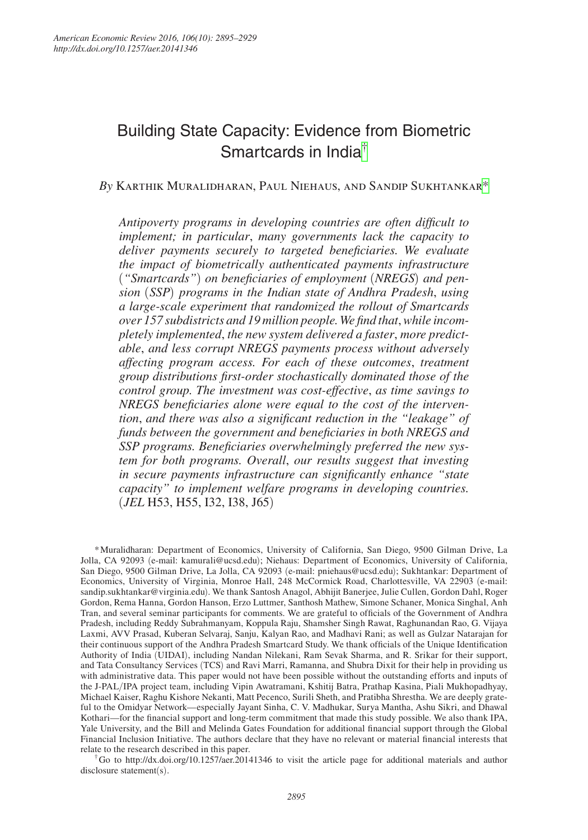# Building State Capacity: Evidence from Biometric Smartcards in India[†](#page-0-0)

# *By* Karthik Muralidharan, Paul Niehaus, and Sandip Sukhtanka[r\\*](#page-0-1)

*Antipoverty programs in developing countries are often difficult to implement; in particular*, *many governments lack the capacity to deliver payments securely to targeted beneficiaries. We evaluate the impact of biometrically authenticated payments infrastructure*  (*"Smartcards"*) *on beneficiaries of employment* (*NREGS*) *and pension* (*SSP*) *programs in the Indian state of Andhra Pradesh*, *using a large-scale experiment that randomized the rollout of Smartcards over 157 subdistricts and 19 million people. We find that*, *while incompletely implemented*, *the new system delivered a faster*, *more predictable*, *and less corrupt NREGS payments process without adversely affecting program access. For each of these outcomes*, *treatment group distributions first-order stochastically dominated those of the control group. The investment was cost-effective*, *as time savings to NREGS beneficiaries alone were equal to the cost of the intervention*, *and there was also a significant reduction in the "leakage" of funds between the government and beneficiaries in both NREGS and SSP programs. Beneficiaries overwhelmingly preferred the new system for both programs. Overall*, *our results suggest that investing in secure payments infrastructure can significantly enhance "state capacity" to implement welfare programs in developing countries.*  (*JEL* H53, H55, I32, I38, J65)

<span id="page-0-1"></span>\*Muralidharan: Department of Economics, University of California, San Diego, 9500 Gilman Drive, La Jolla, CA 92093 (e-mail: kamurali@ucsd.edu); Niehaus: Department of Economics, University of California, San Diego, 9500 Gilman Drive, La Jolla, CA 92093 (e-mail: pniehaus@ucsd.edu); Sukhtankar: Department of Economics, University of Virginia, Monroe Hall, 248 McCormick Road, Charlottesville, VA 22903 (e-mail: sandip.sukhtankar@virginia.edu). We thank Santosh Anagol, Abhijit Banerjee, Julie Cullen, Gordon Dahl, Roger Gordon, Rema Hanna, Gordon Hanson, Erzo Luttmer, Santhosh Mathew, Simone Schaner, Monica Singhal, Anh Tran, and several seminar participants for comments. We are grateful to officials of the Government of Andhra Pradesh, including Reddy Subrahmanyam, Koppula Raju, Shamsher Singh Rawat, Raghunandan Rao, G. Vijaya Laxmi, AVV Prasad, Kuberan Selvaraj, Sanju, Kalyan Rao, and Madhavi Rani; as well as Gulzar Natarajan for their continuous support of the Andhra Pradesh Smartcard Study. We thank officials of the Unique Identification Authority of India (UIDAI), including Nandan Nilekani, Ram Sevak Sharma, and R. Srikar for their support, and Tata Consultancy Services (TCS) and Ravi Marri, Ramanna, and Shubra Dixit for their help in providing us with administrative data. This paper would not have been possible without the outstanding efforts and inputs of the J-PAL/IPA project team, including Vipin Awatramani, Kshitij Batra, Prathap Kasina, Piali Mukhopadhyay, Michael Kaiser, Raghu Kishore Nekanti, Matt Pecenco, Surili Sheth, and Pratibha Shrestha. We are deeply grateful to the Omidyar Network—especially Jayant Sinha, C. V. Madhukar, Surya Mantha, Ashu Sikri, and Dhawal Kothari—for the financial support and long-term commitment that made this study possible. We also thank IPA, Yale University, and the Bill and Melinda Gates Foundation for additional financial support through the Global Financial Inclusion Initiative. The authors declare that they have no relevant or material financial interests that relate to the research described in this paper.

<span id="page-0-0"></span>†Go to http://dx.doi.org/10.1257/aer.20141346 to visit the article page for additional materials and author disclosure statement(s).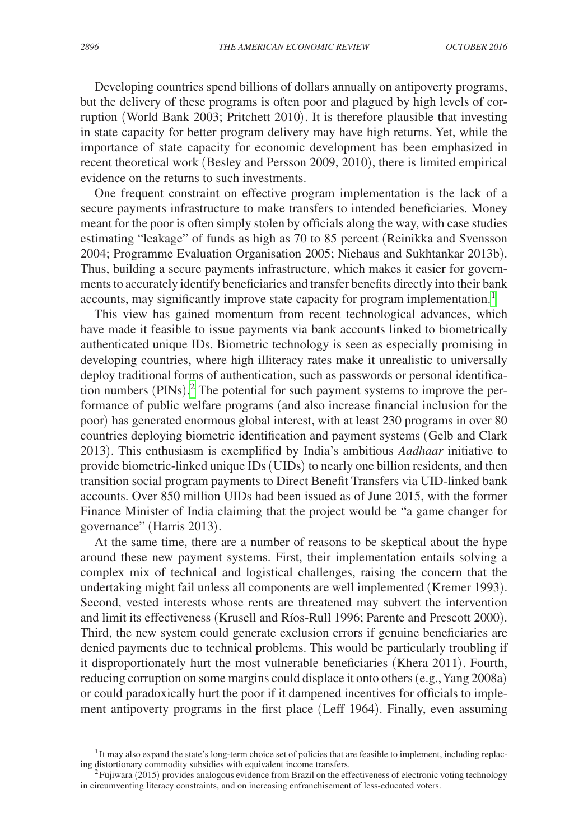Developing countries spend billions of dollars annually on antipoverty programs, but the delivery of these programs is often poor and plagued by high levels of corruption (World Bank 2003; Pritchett 2010). It is therefore plausible that investing in state capacity for better program delivery may have high returns. Yet, while the importance of state capacity for economic development has been emphasized in recent theoretical work (Besley and Persson 2009, 2010), there is limited empirical evidence on the returns to such investments.

One frequent constraint on effective program implementation is the lack of a secure payments infrastructure to make transfers to intended beneficiaries. Money meant for the poor is often simply stolen by officials along the way, with case studies estimating "leakage" of funds as high as 70 to 85 percent (Reinikka and Svensson 2004; Programme Evaluation Organisation 2005; Niehaus and Sukhtankar 2013b). Thus, building a secure payments infrastructure, which makes it easier for governments to accurately identify beneficiaries and transfer benefits directly into their bank accounts, may significantly improve state capacity for program implementation.<sup>[1](#page-1-0)</sup>

This view has gained momentum from recent technological advances, which have made it feasible to issue payments via bank accounts linked to biometrically authenticated unique IDs. Biometric technology is seen as especially promising in developing countries, where high illiteracy rates make it unrealistic to universally deploy traditional forms of authentication, such as passwords or personal identification numbers (PINs). [2](#page-1-1) The potential for such payment systems to improve the performance of public welfare programs (and also increase financial inclusion for the poor) has generated enormous global interest, with at least 230 programs in over 80 countries deploying biometric identification and payment systems (Gelb and Clark 2013). This enthusiasm is exemplified by India's ambitious *Aadhaar* initiative to provide biometric-linked unique IDs (UIDs) to nearly one billion residents, and then transition social program payments to Direct Benefit Transfers via UID-linked bank accounts. Over 850 million UIDs had been issued as of June 2015, with the former Finance Minister of India claiming that the project would be "a game changer for governance" (Harris 2013).

At the same time, there are a number of reasons to be skeptical about the hype around these new payment systems. First, their implementation entails solving a complex mix of technical and logistical challenges, raising the concern that the undertaking might fail unless all components are well implemented (Kremer 1993). Second, vested interests whose rents are threatened may subvert the intervention and limit its effectiveness (Krusell and Ríos-Rull 1996; Parente and Prescott 2000). Third, the new system could generate exclusion errors if genuine beneficiaries are denied payments due to technical problems. This would be particularly troubling if it disproportionately hurt the most vulnerable beneficiaries (Khera 2011). Fourth, reducing corruption on some margins could displace it onto others (e.g., Yang 2008a) or could paradoxically hurt the poor if it dampened incentives for officials to implement antipoverty programs in the first place (Leff 1964). Finally, even assuming

<span id="page-1-0"></span><sup>&</sup>lt;sup>1</sup>It may also expand the state's long-term choice set of policies that are feasible to implement, including replacing distortionary commodity subsidies with equivalent income transfers.

<span id="page-1-1"></span> ${}^{2}$ Fujiwara (2015) provides analogous evidence from Brazil on the effectiveness of electronic voting technology in circumventing literacy constraints, and on increasing enfranchisement of less-educated voters.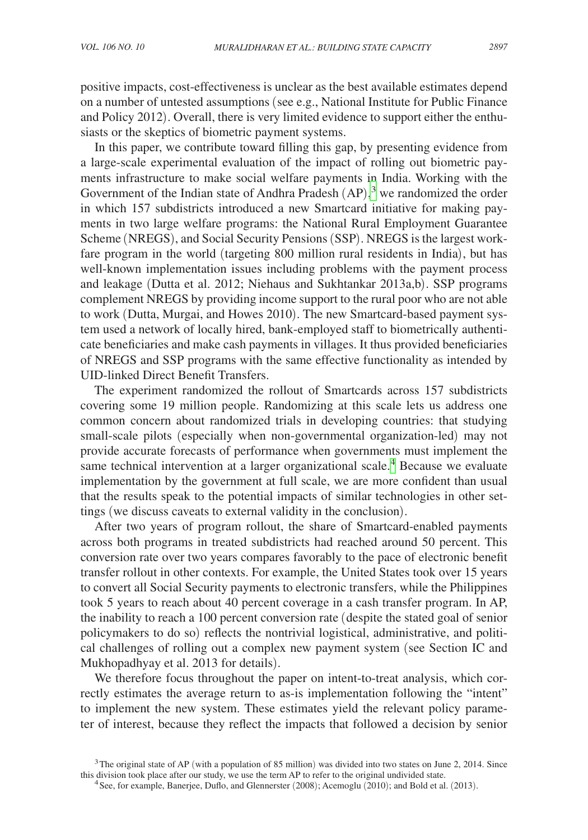positive impacts, cost-effectiveness is unclear as the best available estimates depend on a number of untested assumptions (see e.g., National Institute for Public Finance and Policy 2012). Overall, there is very limited evidence to support either the enthusiasts or the skeptics of biometric payment systems.

In this paper, we contribute toward filling this gap, by presenting evidence from a large-scale experimental evaluation of the impact of rolling out biometric payments infrastructure to make social welfare payments in India. Working with the Government of the Indian state of Andhra Pradesh  $(AP)$ ,<sup>[3](#page-2-0)</sup> we randomized the order in which 157 subdistricts introduced a new Smartcard initiative for making payments in two large welfare programs: the National Rural Employment Guarantee Scheme (NREGS), and Social Security Pensions (SSP). NREGS is the largest workfare program in the world (targeting 800 million rural residents in India), but has well-known implementation issues including problems with the payment process and leakage (Dutta et al. 2012; Niehaus and Sukhtankar 2013a,b). SSP programs complement NREGS by providing income support to the rural poor who are not able to work (Dutta, Murgai, and Howes 2010). The new Smartcard-based payment system used a network of locally hired, bank-employed staff to biometrically authenticate beneficiaries and make cash payments in villages. It thus provided beneficiaries of NREGS and SSP programs with the same effective functionality as intended by UID-linked Direct Benefit Transfers.

The experiment randomized the rollout of Smartcards across 157 subdistricts covering some 19 million people. Randomizing at this scale lets us address one common concern about randomized trials in developing countries: that studying small-scale pilots (especially when non-governmental organization-led) may not provide accurate forecasts of performance when governments must implement the same technical intervention at a larger organizational scale.<sup>[4](#page-2-1)</sup> Because we evaluate implementation by the government at full scale, we are more confident than usual that the results speak to the potential impacts of similar technologies in other settings (we discuss caveats to external validity in the conclusion).

After two years of program rollout, the share of Smartcard-enabled payments across both programs in treated subdistricts had reached around 50 percent. This conversion rate over two years compares favorably to the pace of electronic benefit transfer rollout in other contexts. For example, the United States took over 15 years to convert all Social Security payments to electronic transfers, while the Philippines took 5 years to reach about 40 percent coverage in a cash transfer program. In AP, the inability to reach a 100 percent conversion rate (despite the stated goal of senior policymakers to do so) reflects the nontrivial logistical, administrative, and political challenges of rolling out a complex new payment system (see Section IC and Mukhopadhyay et al. 2013 for details).

We therefore focus throughout the paper on intent-to-treat analysis, which correctly estimates the average return to as-is implementation following the "intent" to implement the new system. These estimates yield the relevant policy parameter of interest, because they reflect the impacts that followed a decision by senior

<span id="page-2-0"></span> $3$ The original state of AP (with a population of 85 million) was divided into two states on June 2, 2014. Since this division took place after our study, we use the term AP to refer to the original undivided state.

<span id="page-2-1"></span><sup>&</sup>lt;sup>4</sup> See, for example, Banerjee, Duflo, and Glennerster  $(2008)$ ; Acemoglu  $(2010)$ ; and Bold et al.  $(2013)$ .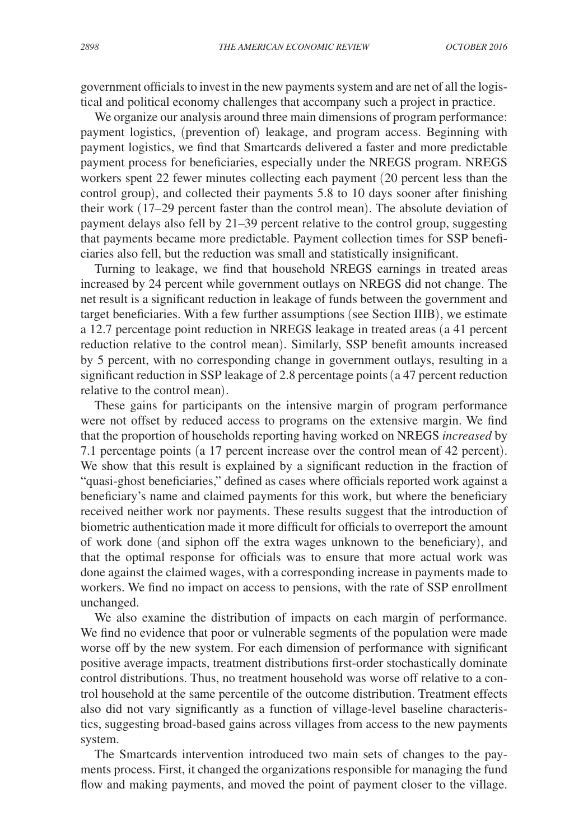government officials to invest in the new payments system and are net of all the logistical and political economy challenges that accompany such a project in practice.

We organize our analysis around three main dimensions of program performance: payment logistics, (prevention of) leakage, and program access. Beginning with payment logistics, we find that Smartcards delivered a faster and more predictable payment process for beneficiaries, especially under the NREGS program. NREGS workers spent 22 fewer minutes collecting each payment (20 percent less than the control group), and collected their payments 5.8 to 10 days sooner after finishing their work (17–29 percent faster than the control mean). The absolute deviation of payment delays also fell by 21–39 percent relative to the control group, suggesting that payments became more predictable. Payment collection times for SSP beneficiaries also fell, but the reduction was small and statistically insignificant.

Turning to leakage, we find that household NREGS earnings in treated areas increased by 24 percent while government outlays on NREGS did not change. The net result is a significant reduction in leakage of funds between the government and target beneficiaries. With a few further assumptions (see Section IIIB), we estimate a 12.7 percentage point reduction in NREGS leakage in treated areas (a 41 percent reduction relative to the control mean). Similarly, SSP benefit amounts increased by 5 percent, with no corresponding change in government outlays, resulting in a significant reduction in SSP leakage of 2.8 percentage points (a 47 percent reduction relative to the control mean).

These gains for participants on the intensive margin of program performance were not offset by reduced access to programs on the extensive margin. We find that the proportion of households reporting having worked on NREGS *increased* by 7.1 percentage points (a 17 percent increase over the control mean of 42 percent). We show that this result is explained by a significant reduction in the fraction of "quasi-ghost beneficiaries," defined as cases where officials reported work against a beneficiary's name and claimed payments for this work, but where the beneficiary received neither work nor payments. These results suggest that the introduction of biometric authentication made it more difficult for officials to overreport the amount of work done (and siphon off the extra wages unknown to the beneficiary), and that the optimal response for officials was to ensure that more actual work was done against the claimed wages, with a corresponding increase in payments made to workers. We find no impact on access to pensions, with the rate of SSP enrollment unchanged.

We also examine the distribution of impacts on each margin of performance. We find no evidence that poor or vulnerable segments of the population were made worse off by the new system. For each dimension of performance with significant positive average impacts, treatment distributions first-order stochastically dominate control distributions. Thus, no treatment household was worse off relative to a control household at the same percentile of the outcome distribution. Treatment effects also did not vary significantly as a function of village-level baseline characteristics, suggesting broad-based gains across villages from access to the new payments system.

The Smartcards intervention introduced two main sets of changes to the payments process. First, it changed the organizations responsible for managing the fund flow and making payments, and moved the point of payment closer to the village.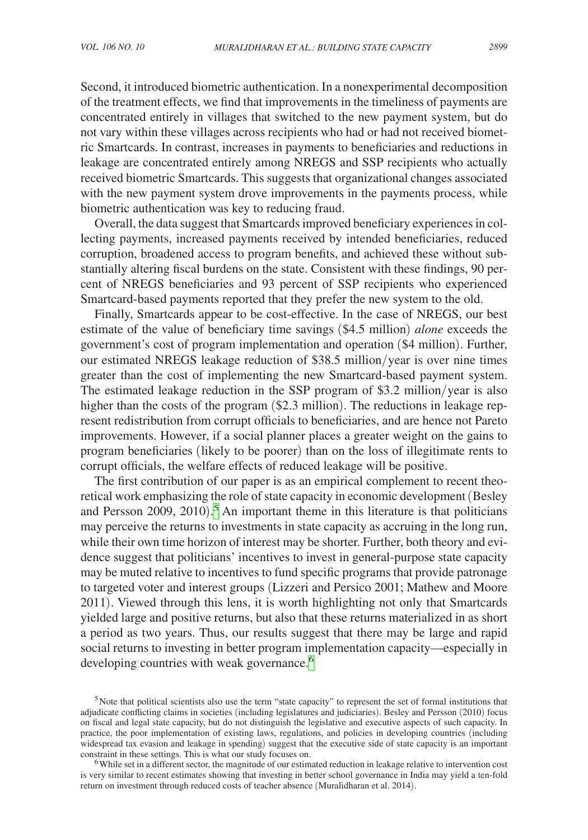Second, it introduced biometric authentication. In a nonexperimental decomposition of the treatment effects, we find that improvements in the timeliness of payments are concentrated entirely in villages that switched to the new payment system, but do not vary within these villages across recipients who had or had not received biometric Smartcards. In contrast, increases in payments to beneficiaries and reductions in leakage are concentrated entirely among NREGS and SSP recipients who actually received biometric Smartcards. This suggests that organizational changes associated with the new payment system drove improvements in the payments process, while biometric authentication was key to reducing fraud.

Overall, the data suggest that Smartcards improved beneficiary experiences in collecting payments, increased payments received by intended beneficiaries, reduced corruption, broadened access to program benefits, and achieved these without substantially altering fiscal burdens on the state. Consistent with these findings, 90 percent of NREGS beneficiaries and 93 percent of SSP recipients who experienced Smartcard-based payments reported that they prefer the new system to the old.

Finally, Smartcards appear to be cost-effective. In the case of NREGS, our best estimate of the value of beneficiary time savings (\$4.5 million) *alone* exceeds the government's cost of program implementation and operation (\$4 million). Further, our estimated NREGS leakage reduction of \$38.5 million/year is over nine times greater than the cost of implementing the new Smartcard-based payment system. The estimated leakage reduction in the SSP program of \$3.2 million/year is also higher than the costs of the program (\$2.3 million). The reductions in leakage represent redistribution from corrupt officials to beneficiaries, and are hence not Pareto improvements. However, if a social planner places a greater weight on the gains to program beneficiaries (likely to be poorer) than on the loss of illegitimate rents to corrupt officials, the welfare effects of reduced leakage will be positive.

The first contribution of our paper is as an empirical complement to recent theoretical work emphasizing the role of state capacity in economic development (Besley and Persson 2009, 2010). [5](#page-4-0) An important theme in this literature is that politicians may perceive the returns to investments in state capacity as accruing in the long run, while their own time horizon of interest may be shorter. Further, both theory and evidence suggest that politicians' incentives to invest in general-purpose state capacity may be muted relative to incentives to fund specific programs that provide patronage to targeted voter and interest groups (Lizzeri and Persico 2001; Mathew and Moore 2011). Viewed through this lens, it is worth highlighting not only that Smartcards yielded large and positive returns, but also that these returns materialized in as short a period as two years. Thus, our results suggest that there may be large and rapid social returns to investing in better program implementation capacity—especially in developing countries with weak governance.<sup>[6](#page-4-1)</sup>

<span id="page-4-0"></span>5Note that political scientists also use the term "state capacity" to represent the set of formal institutions that adjudicate conflicting claims in societies (including legislatures and judiciaries). Besley and Persson (2010) focus on fiscal and legal state capacity, but do not distinguish the legislative and executive aspects of such capacity. In practice, the poor implementation of existing laws, regulations, and policies in developing countries (including widespread tax evasion and leakage in spending) suggest that the executive side of state capacity is an important constraint in these settings. This is what our study focuses on.

<span id="page-4-1"></span><sup>6</sup> While set in a different sector, the magnitude of our estimated reduction in leakage relative to intervention cost is very similar to recent estimates showing that investing in better school governance in India may yield a ten-fold return on investment through reduced costs of teacher absence (Muralidharan et al. 2014).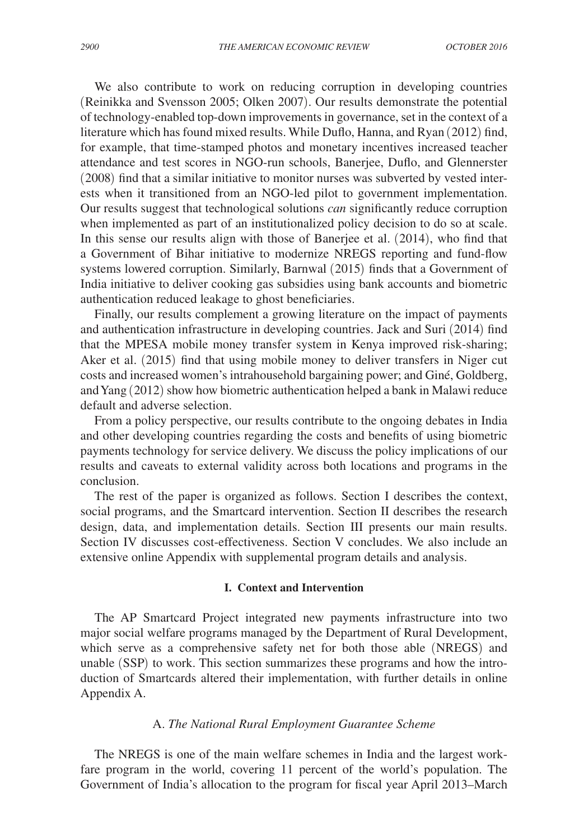We also contribute to work on reducing corruption in developing countries (Reinikka and Svensson 2005; Olken 2007). Our results demonstrate the potential of technology-enabled top-down improvements in governance, set in the context of a literature which has found mixed results. While Duflo, Hanna, and Ryan (2012) find, for example, that time-stamped photos and monetary incentives increased teacher attendance and test scores in NGO-run schools, Banerjee, Duflo, and Glennerster (2008) find that a similar initiative to monitor nurses was subverted by vested interests when it transitioned from an NGO-led pilot to government implementation. Our results suggest that technological solutions *can* significantly reduce corruption when implemented as part of an institutionalized policy decision to do so at scale. In this sense our results align with those of Banerjee et al. (2014), who find that a Government of Bihar initiative to modernize NREGS reporting and fund-flow systems lowered corruption. Similarly, Barnwal (2015) finds that a Government of India initiative to deliver cooking gas subsidies using bank accounts and biometric authentication reduced leakage to ghost beneficiaries.

Finally, our results complement a growing literature on the impact of payments and authentication infrastructure in developing countries. Jack and Suri (2014) find that the MPESA mobile money transfer system in Kenya improved risk-sharing; Aker et al. (2015) find that using mobile money to deliver transfers in Niger cut costs and increased women's intrahousehold bargaining power; and Giné, Goldberg, and Yang (2012) show how biometric authentication helped a bank in Malawi reduce default and adverse selection.

From a policy perspective, our results contribute to the ongoing debates in India and other developing countries regarding the costs and benefits of using biometric payments technology for service delivery. We discuss the policy implications of our results and caveats to external validity across both locations and programs in the conclusion.

The rest of the paper is organized as follows. Section I describes the context, social programs, and the Smartcard intervention. Section II describes the research design, data, and implementation details. Section III presents our main results. Section IV discusses cost-effectiveness. Section V concludes. We also include an extensive online Appendix with supplemental program details and analysis.

### **I. Context and Intervention**

The AP Smartcard Project integrated new payments infrastructure into two major social welfare programs managed by the Department of Rural Development, which serve as a comprehensive safety net for both those able (NREGS) and unable (SSP) to work. This section summarizes these programs and how the introduction of Smartcards altered their implementation, with further details in online Appendix A.

### A. *The National Rural Employment Guarantee Scheme*

The NREGS is one of the main welfare schemes in India and the largest workfare program in the world, covering 11 percent of the world's population. The Government of India's allocation to the program for fiscal year April 2013–March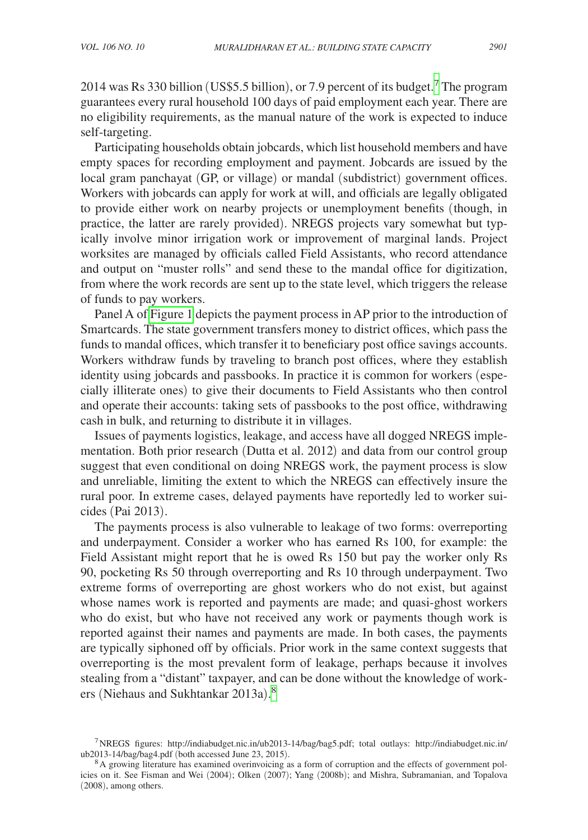2014 was Rs 330 billion (US\$5.5 billion), or [7](#page-6-0).9 percent of its budget.<sup>7</sup> The program guarantees every rural household 100 days of paid employment each year. There are no eligibility requirements, as the manual nature of the work is expected to induce self-targeting.

Participating households obtain jobcards, which list household members and have empty spaces for recording employment and payment. Jobcards are issued by the local gram panchayat (GP, or village) or mandal (subdistrict) government offices. Workers with jobcards can apply for work at will, and officials are legally obligated to provide either work on nearby projects or unemployment benefits (though, in practice, the latter are rarely provided). NREGS projects vary somewhat but typically involve minor irrigation work or improvement of marginal lands. Project worksites are managed by officials called Field Assistants, who record attendance and output on "muster rolls" and send these to the mandal office for digitization, from where the work records are sent up to the state level, which triggers the release of funds to pay workers.

Panel A of [Figure 1](#page-7-0) depicts the payment process in AP prior to the introduction of Smartcards. The state government transfers money to district offices, which pass the funds to mandal offices, which transfer it to beneficiary post office savings accounts. Workers withdraw funds by traveling to branch post offices, where they establish identity using jobcards and passbooks. In practice it is common for workers (especially illiterate ones) to give their documents to Field Assistants who then control and operate their accounts: taking sets of passbooks to the post office, withdrawing cash in bulk, and returning to distribute it in villages.

Issues of payments logistics, leakage, and access have all dogged NREGS implementation. Both prior research (Dutta et al. 2012) and data from our control group suggest that even conditional on doing NREGS work, the payment process is slow and unreliable, limiting the extent to which the NREGS can effectively insure the rural poor. In extreme cases, delayed payments have reportedly led to worker suicides (Pai 2013).

The payments process is also vulnerable to leakage of two forms: overreporting and underpayment. Consider a worker who has earned Rs 100, for example: the Field Assistant might report that he is owed Rs 150 but pay the worker only Rs 90, pocketing Rs 50 through overreporting and Rs 10 through underpayment. Two extreme forms of overreporting are ghost workers who do not exist, but against whose names work is reported and payments are made; and quasi-ghost workers who do exist, but who have not received any work or payments though work is reported against their names and payments are made. In both cases, the payments are typically siphoned off by officials. Prior work in the same context suggests that overreporting is the most prevalent form of leakage, perhaps because it involves stealing from a "distant" taxpayer, and can be done without the knowledge of workers (Niehaus and Sukhtankar 2013a). [8](#page-6-1)

<span id="page-6-0"></span>[<sup>7</sup>NREGS figures: http://indiabudget.nic.in/ub2013-14/bag/bag5.pdf; total outlays: http://indiabudget.nic.in/](http://indiabudget.nic.in/ub2013-14/bag/bag4.pdf)

<span id="page-6-1"></span> $8A$  growing literature has examined overinvoicing as a form of corruption and the effects of government policies on it. See Fisman and Wei (2004); Olken (2007); Yang (2008b); and Mishra, Subramanian, and Topalova (2008), among others.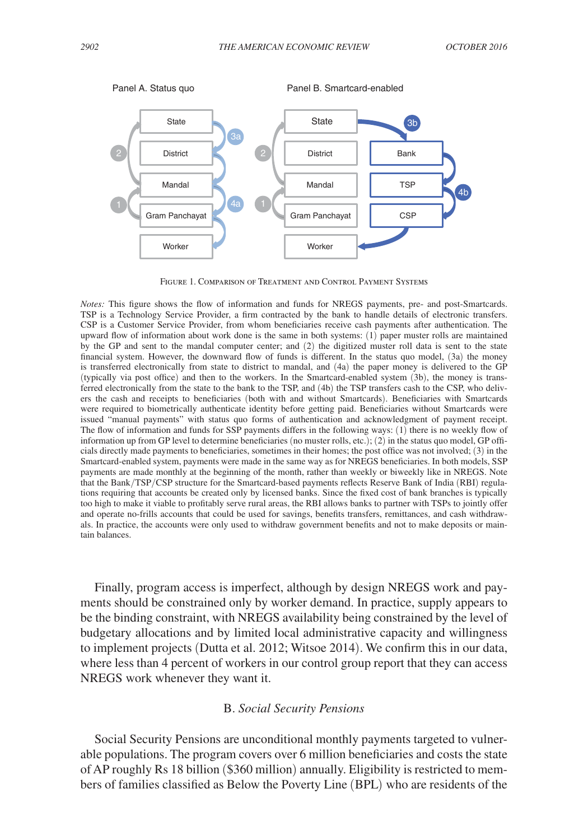<span id="page-7-0"></span>

Figure 1. Comparison of Treatment and Control Payment Systems

*Notes:* This figure shows the flow of information and funds for NREGS payments, pre- and post-Smartcards. TSP is a Technology Service Provider, a firm contracted by the bank to handle details of electronic transfers. CSP is a Customer Service Provider, from whom beneficiaries receive cash payments after authentication. The upward flow of information about work done is the same in both systems: (1) paper muster rolls are maintained by the GP and sent to the mandal computer center; and (2) the digitized muster roll data is sent to the state financial system. However, the downward flow of funds is different. In the status quo model, (3a) the money is transferred electronically from state to district to mandal, and (4a) the paper money is delivered to the GP (typically via post office) and then to the workers. In the Smartcard-enabled system (3b), the money is transferred electronically from the state to the bank to the TSP, and (4b) the TSP transfers cash to the CSP, who delivers the cash and receipts to beneficiaries (both with and without Smartcards). Beneficiaries with Smartcards were required to biometrically authenticate identity before getting paid. Beneficiaries without Smartcards were issued "manual payments" with status quo forms of authentication and acknowledgment of payment receipt. The flow of information and funds for SSP payments differs in the following ways: (1) there is no weekly flow of information up from GP level to determine beneficiaries (no muster rolls, etc.); (2) in the status quo model, GP officials directly made payments to beneficiaries, sometimes in their homes; the post office was not involved; (3) in the Smartcard-enabled system, payments were made in the same way as for NREGS beneficiaries. In both models, SSP payments are made monthly at the beginning of the month, rather than weekly or biweekly like in NREGS. Note that the Bank/TSP/CSP structure for the Smartcard-based payments reflects Reserve Bank of India (RBI) regulations requiring that accounts be created only by licensed banks. Since the fixed cost of bank branches is typically too high to make it viable to profitably serve rural areas, the RBI allows banks to partner with TSPs to jointly offer and operate no-frills accounts that could be used for savings, benefits transfers, remittances, and cash withdrawals. In practice, the accounts were only used to withdraw government benefits and not to make deposits or maintain balances.

Finally, program access is imperfect, although by design NREGS work and payments should be constrained only by worker demand. In practice, supply appears to be the binding constraint, with NREGS availability being constrained by the level of budgetary allocations and by limited local administrative capacity and willingness to implement projects (Dutta et al. 2012; Witsoe 2014). We confirm this in our data, where less than 4 percent of workers in our control group report that they can access NREGS work whenever they want it.

# B. *Social Security Pensions*

Social Security Pensions are unconditional monthly payments targeted to vulnerable populations. The program covers over 6 million beneficiaries and costs the state of AP roughly Rs 18 billion (\$360 million) annually. Eligibility is restricted to members of families classified as Below the Poverty Line (BPL) who are residents of the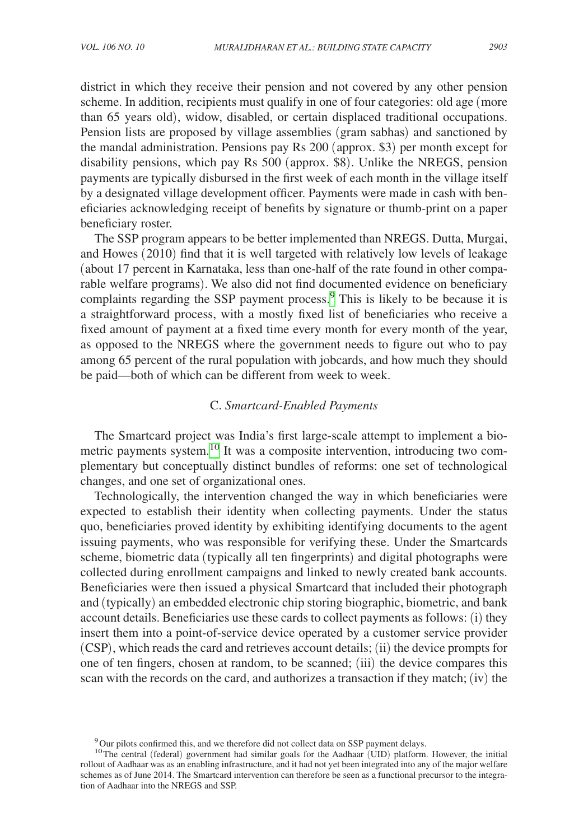district in which they receive their pension and not covered by any other pension scheme. In addition, recipients must qualify in one of four categories: old age (more than 65 years old), widow, disabled, or certain displaced traditional occupations. Pension lists are proposed by village assemblies (gram sabhas) and sanctioned by the mandal administration. Pensions pay Rs 200 (approx. \$3) per month except for disability pensions, which pay Rs 500 (approx. \$8). Unlike the NREGS, pension payments are typically disbursed in the first week of each month in the village itself by a designated village development officer. Payments were made in cash with beneficiaries acknowledging receipt of benefits by signature or thumb-print on a paper beneficiary roster.

The SSP program appears to be better implemented than NREGS. Dutta, Murgai, and Howes (2010) find that it is well targeted with relatively low levels of leakage (about 17 percent in Karnataka, less than one-half of the rate found in other comparable welfare programs). We also did not find documented evidence on beneficiary complaints regarding the SSP payment process.<sup>[9](#page-8-0)</sup> This is likely to be because it is a straightforward process, with a mostly fixed list of beneficiaries who receive a fixed amount of payment at a fixed time every month for every month of the year, as opposed to the NREGS where the government needs to figure out who to pay among 65 percent of the rural population with jobcards, and how much they should be paid—both of which can be different from week to week.

### C. *Smartcard-Enabled Payments*

The Smartcard project was India's first large-scale attempt to implement a biometric payments system.[10](#page-8-1) It was a composite intervention, introducing two complementary but conceptually distinct bundles of reforms: one set of technological changes, and one set of organizational ones.

Technologically, the intervention changed the way in which beneficiaries were expected to establish their identity when collecting payments. Under the status quo, beneficiaries proved identity by exhibiting identifying documents to the agent issuing payments, who was responsible for verifying these. Under the Smartcards scheme, biometric data (typically all ten fingerprints) and digital photographs were collected during enrollment campaigns and linked to newly created bank accounts. Beneficiaries were then issued a physical Smartcard that included their photograph and (typically) an embedded electronic chip storing biographic, biometric, and bank account details. Beneficiaries use these cards to collect payments as follows: (i) they insert them into a point-of-service device operated by a customer service provider (CSP), which reads the card and retrieves account details; (ii) the device prompts for one of ten fingers, chosen at random, to be scanned; (iii) the device compares this scan with the records on the card, and authorizes a transaction if they match; (iv) the

<span id="page-8-1"></span><span id="page-8-0"></span><sup>&</sup>lt;sup>9</sup>Our pilots confirmed this, and we therefore did not collect data on SSP payment delays.

<sup>&</sup>lt;sup>10</sup>The central (federal) government had similar goals for the Aadhaar (UID) platform. However, the initial rollout of Aadhaar was as an enabling infrastructure, and it had not yet been integrated into any of the major welfare schemes as of June 2014. The Smartcard intervention can therefore be seen as a functional precursor to the integration of Aadhaar into the NREGS and SSP.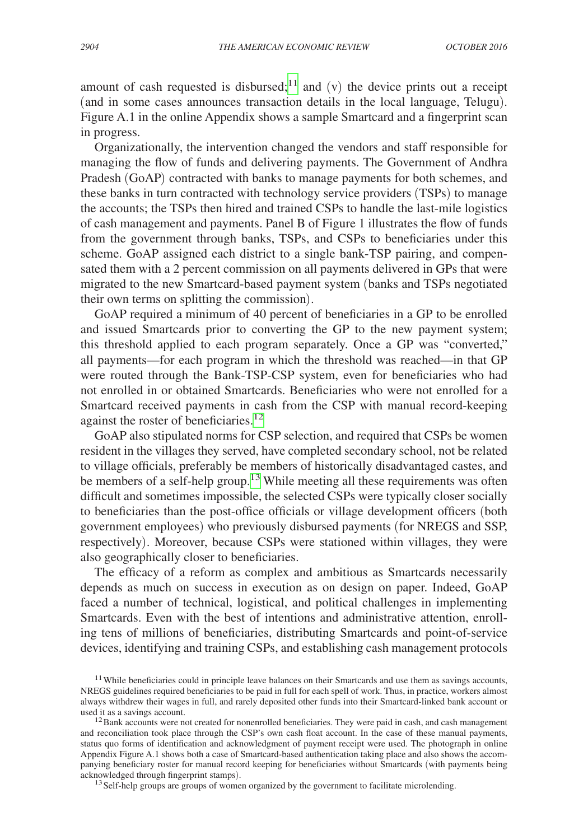amount of cash requested is disbursed;<sup>[11](#page-9-0)</sup> and (v) the device prints out a receipt (and in some cases announces transaction details in the local language, Telugu). Figure A.1 in the online Appendix shows a sample Smartcard and a fingerprint scan in progress.

Organizationally, the intervention changed the vendors and staff responsible for managing the flow of funds and delivering payments. The Government of Andhra Pradesh (GoAP) contracted with banks to manage payments for both schemes, and these banks in turn contracted with technology service providers (TSPs) to manage the accounts; the TSPs then hired and trained CSPs to handle the last-mile logistics of cash management and payments. Panel B of Figure 1 illustrates the flow of funds from the government through banks, TSPs, and CSPs to beneficiaries under this scheme. GoAP assigned each district to a single bank-TSP pairing, and compensated them with a 2 percent commission on all payments delivered in GPs that were migrated to the new Smartcard-based payment system (banks and TSPs negotiated their own terms on splitting the commission).

GoAP required a minimum of 40 percent of beneficiaries in a GP to be enrolled and issued Smartcards prior to converting the GP to the new payment system; this threshold applied to each program separately. Once a GP was "converted," all payments—for each program in which the threshold was reached—in that GP were routed through the Bank-TSP-CSP system, even for beneficiaries who had not enrolled in or obtained Smartcards. Beneficiaries who were not enrolled for a Smartcard received payments in cash from the CSP with manual record-keeping against the roster of beneficiaries.<sup>12</sup>

GoAP also stipulated norms for CSP selection, and required that CSPs be women resident in the villages they served, have completed secondary school, not be related to village officials, preferably be members of historically disadvantaged castes, and be members of a self-help group.<sup>13</sup> While meeting all these requirements was often difficult and sometimes impossible, the selected CSPs were typically closer socially to beneficiaries than the post-office officials or village development officers (both government employees) who previously disbursed payments (for NREGS and SSP, respectively). Moreover, because CSPs were stationed within villages, they were also geographically closer to beneficiaries.

The efficacy of a reform as complex and ambitious as Smartcards necessarily depends as much on success in execution as on design on paper. Indeed, GoAP faced a number of technical, logistical, and political challenges in implementing Smartcards. Even with the best of intentions and administrative attention, enrolling tens of millions of beneficiaries, distributing Smartcards and point-of-service devices, identifying and training CSPs, and establishing cash management protocols

<span id="page-9-2"></span><sup>13</sup> Self-help groups are groups of women organized by the government to facilitate microlending.

<span id="page-9-0"></span> $11$  While beneficiaries could in principle leave balances on their Smartcards and use them as savings accounts, NREGS guidelines required beneficiaries to be paid in full for each spell of work. Thus, in practice, workers almost always withdrew their wages in full, and rarely deposited other funds into their Smartcard-linked bank account or

<span id="page-9-1"></span> $12$ Bank accounts were not created for nonenrolled beneficiaries. They were paid in cash, and cash management and reconciliation took place through the CSP's own cash float account. In the case of these manual payments, status quo forms of identification and acknowledgment of payment receipt were used. The photograph in online Appendix Figure A.1 shows both a case of Smartcard-based authentication taking place and also shows the accompanying beneficiary roster for manual record keeping for beneficiaries without Smartcards (with payments being acknowledged through fingerprint stamps).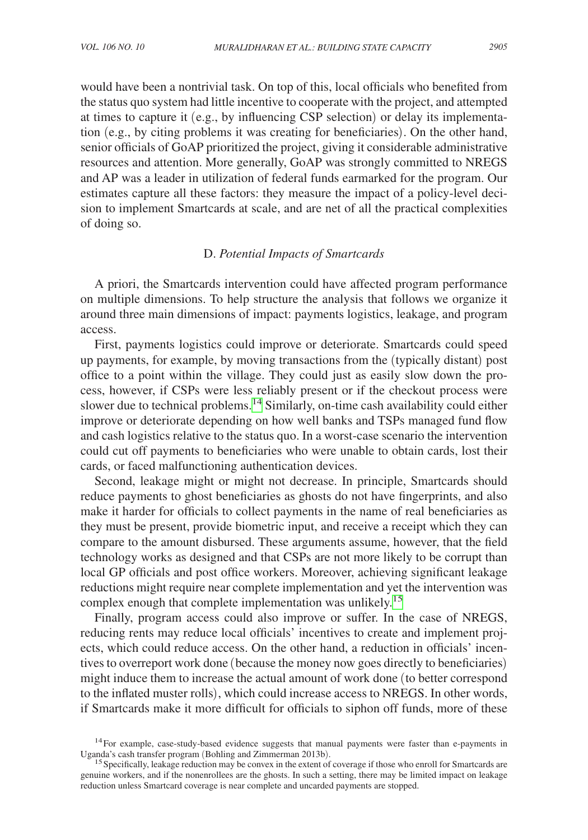would have been a nontrivial task. On top of this, local officials who benefited from the status quo system had little incentive to cooperate with the project, and attempted at times to capture it (e.g., by influencing CSP selection) or delay its implementation (e.g., by citing problems it was creating for beneficiaries). On the other hand, senior officials of GoAP prioritized the project, giving it considerable administrative resources and attention. More generally, GoAP was strongly committed to NREGS and AP was a leader in utilization of federal funds earmarked for the program. Our estimates capture all these factors: they measure the impact of a policy-level decision to implement Smartcards at scale, and are net of all the practical complexities of doing so.

### D. *Potential Impacts of Smartcards*

A priori, the Smartcards intervention could have affected program performance on multiple dimensions. To help structure the analysis that follows we organize it around three main dimensions of impact: payments logistics, leakage, and program access.

First, payments logistics could improve or deteriorate. Smartcards could speed up payments, for example, by moving transactions from the (typically distant) post office to a point within the village. They could just as easily slow down the process, however, if CSPs were less reliably present or if the checkout process were slower due to technical problems.<sup>14</sup> Similarly, on-time cash availability could either improve or deteriorate depending on how well banks and TSPs managed fund flow and cash logistics relative to the status quo. In a worst-case scenario the intervention could cut off payments to beneficiaries who were unable to obtain cards, lost their cards, or faced malfunctioning authentication devices.

Second, leakage might or might not decrease. In principle, Smartcards should reduce payments to ghost beneficiaries as ghosts do not have fingerprints, and also make it harder for officials to collect payments in the name of real beneficiaries as they must be present, provide biometric input, and receive a receipt which they can compare to the amount disbursed. These arguments assume, however, that the field technology works as designed and that CSPs are not more likely to be corrupt than local GP officials and post office workers. Moreover, achieving significant leakage reductions might require near complete implementation and yet the intervention was complex enough that complete implementation was unlikely.<sup>15</sup>

Finally, program access could also improve or suffer. In the case of NREGS, reducing rents may reduce local officials' incentives to create and implement projects, which could reduce access. On the other hand, a reduction in officials' incentives to overreport work done (because the money now goes directly to beneficiaries) might induce them to increase the actual amount of work done (to better correspond to the inflated muster rolls), which could increase access to NREGS. In other words, if Smartcards make it more difficult for officials to siphon off funds, more of these

<span id="page-10-0"></span><sup>&</sup>lt;sup>14</sup>For example, case-study-based evidence suggests that manual payments were faster than e-payments in Uganda's cash transfer program (Bohling and Zimmerman 2013b).

<span id="page-10-1"></span> $<sup>15</sup>$  Specifically, leakage reduction may be convex in the extent of coverage if those who enroll for Smartcards are</sup> genuine workers, and if the nonenrollees are the ghosts. In such a setting, there may be limited impact on leakage reduction unless Smartcard coverage is near complete and uncarded payments are stopped.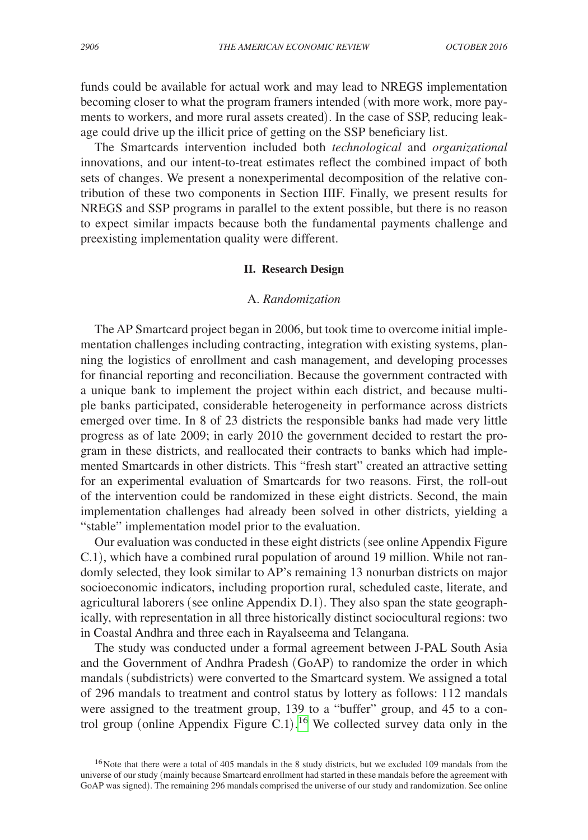funds could be available for actual work and may lead to NREGS implementation becoming closer to what the program framers intended (with more work, more payments to workers, and more rural assets created). In the case of SSP, reducing leakage could drive up the illicit price of getting on the SSP beneficiary list.

The Smartcards intervention included both *technological* and *organizational*  innovations, and our intent-to-treat estimates reflect the combined impact of both sets of changes. We present a nonexperimental decomposition of the relative contribution of these two components in Section IIIF. Finally, we present results for NREGS and SSP programs in parallel to the extent possible, but there is no reason to expect similar impacts because both the fundamental payments challenge and preexisting implementation quality were different.

### **II. Research Design**

### A. *Randomization*

The AP Smartcard project began in 2006, but took time to overcome initial implementation challenges including contracting, integration with existing systems, planning the logistics of enrollment and cash management, and developing processes for financial reporting and reconciliation. Because the government contracted with a unique bank to implement the project within each district, and because multiple banks participated, considerable heterogeneity in performance across districts emerged over time. In 8 of 23 districts the responsible banks had made very little progress as of late 2009; in early 2010 the government decided to restart the program in these districts, and reallocated their contracts to banks which had implemented Smartcards in other districts. This "fresh start" created an attractive setting for an experimental evaluation of Smartcards for two reasons. First, the roll-out of the intervention could be randomized in these eight districts. Second, the main implementation challenges had already been solved in other districts, yielding a "stable" implementation model prior to the evaluation.

Our evaluation was conducted in these eight districts (see online Appendix Figure C.1), which have a combined rural population of around 19 million. While not randomly selected, they look similar to AP's remaining 13 nonurban districts on major socioeconomic indicators, including proportion rural, scheduled caste, literate, and agricultural laborers (see online Appendix D.1). They also span the state geographically, with representation in all three historically distinct sociocultural regions: two in Coastal Andhra and three each in Rayalseema and Telangana.

The study was conducted under a formal agreement between J-PAL South Asia and the Government of Andhra Pradesh (GoAP) to randomize the order in which mandals (subdistricts) were converted to the Smartcard system. We assigned a total of 296 mandals to treatment and control status by lottery as follows: 112 mandals were assigned to the treatment group, 139 to a "buffer" group, and 45 to a control group (online Appendix Figure C.1). [16](#page-11-0) We collected survey data only in the

<span id="page-11-0"></span><sup>&</sup>lt;sup>16</sup>Note that there were a total of 405 mandals in the 8 study districts, but we excluded 109 mandals from the universe of our study (mainly because Smartcard enrollment had started in these mandals before the agreement with GoAP was signed). The remaining 296 mandals comprised the universe of our study and randomization. See online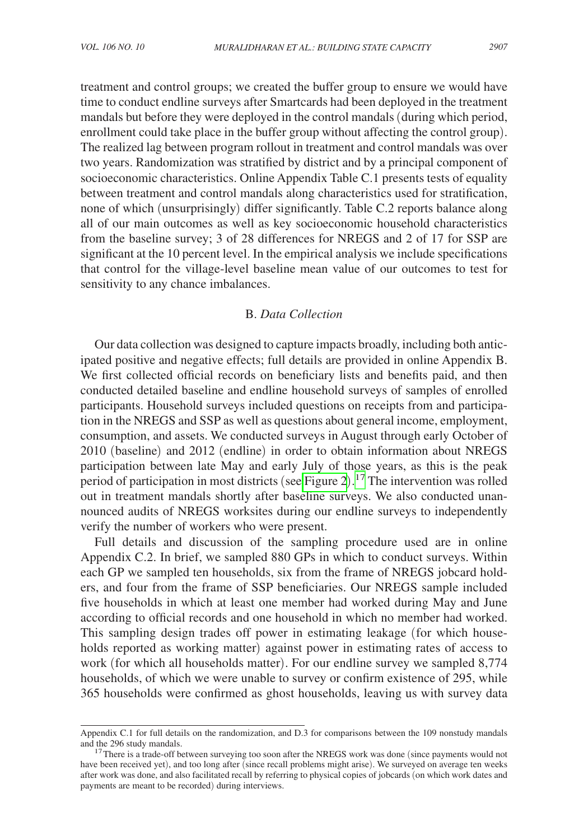treatment and control groups; we created the buffer group to ensure we would have time to conduct endline surveys after Smartcards had been deployed in the treatment mandals but before they were deployed in the control mandals (during which period, enrollment could take place in the buffer group without affecting the control group). The realized lag between program rollout in treatment and control mandals was over two years. Randomization was stratified by district and by a principal component of socioeconomic characteristics. Online Appendix Table C.1 presents tests of equality between treatment and control mandals along characteristics used for stratification, none of which (unsurprisingly) differ significantly. Table C.2 reports balance along all of our main outcomes as well as key socioeconomic household characteristics from the baseline survey; 3 of 28 differences for NREGS and 2 of 17 for SSP are significant at the 10 percent level. In the empirical analysis we include specifications that control for the village-level baseline mean value of our outcomes to test for sensitivity to any chance imbalances.

# B. *Data Collection*

Our data collection was designed to capture impacts broadly, including both anticipated positive and negative effects; full details are provided in online Appendix B. We first collected official records on beneficiary lists and benefits paid, and then conducted detailed baseline and endline household surveys of samples of enrolled participants. Household surveys included questions on receipts from and participation in the NREGS and SSP as well as questions about general income, employment, consumption, and assets. We conducted surveys in August through early October of 2010 (baseline) and 2012 (endline) in order to obtain information about NREGS participation between late May and early July of those years, as this is the peak period of participation in most districts (see [Figure 2](#page-13-0)). [17](#page-12-0) The intervention was rolled out in treatment mandals shortly after baseline surveys. We also conducted unannounced audits of NREGS worksites during our endline surveys to independently verify the number of workers who were present.

Full details and discussion of the sampling procedure used are in online Appendix C.2. In brief, we sampled 880 GPs in which to conduct surveys. Within each GP we sampled ten households, six from the frame of NREGS jobcard holders, and four from the frame of SSP beneficiaries. Our NREGS sample included five households in which at least one member had worked during May and June according to official records and one household in which no member had worked. This sampling design trades off power in estimating leakage (for which households reported as working matter) against power in estimating rates of access to work (for which all households matter). For our endline survey we sampled 8,774 households, of which we were unable to survey or confirm existence of 295, while 365 households were confirmed as ghost households, leaving us with survey data

Appendix C.1 for full details on the randomization, and D.3 for comparisons between the 109 nonstudy mandals and the 296 study mandals.<br><sup>17</sup>There is a trade-off between surveying too soon after the NREGS work was done (since payments would not

<span id="page-12-0"></span>have been received yet), and too long after (since recall problems might arise). We surveyed on average ten weeks after work was done, and also facilitated recall by referring to physical copies of jobcards (on which work dates and payments are meant to be recorded) during interviews.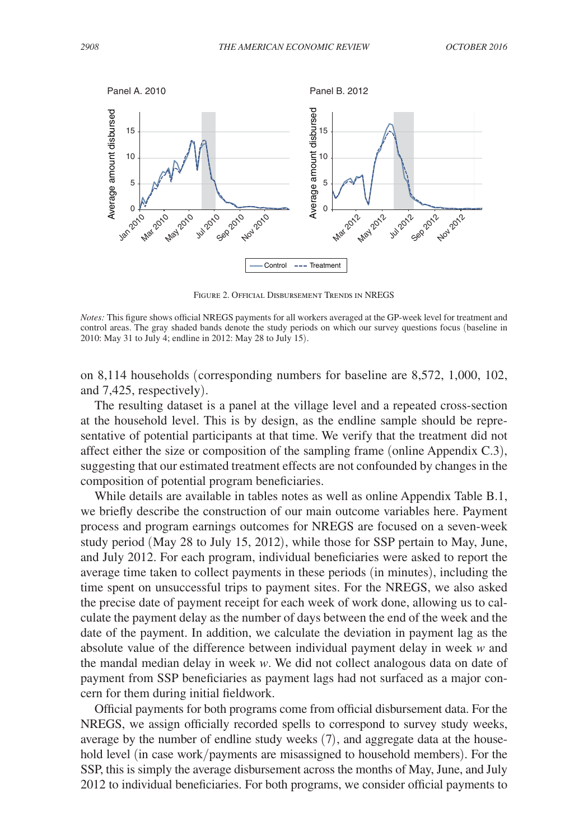<span id="page-13-0"></span>

Figure 2. Official Disbursement Trends in NREGS

*Notes:* This figure shows official NREGS payments for all workers averaged at the GP-week level for treatment and control areas. The gray shaded bands denote the study periods on which our survey questions focus (baseline in 2010: May 31 to July 4; endline in 2012: May 28 to July 15).

on 8,114 households (corresponding numbers for baseline are 8,572, 1,000, 102, and 7,425, respectively).

The resulting dataset is a panel at the village level and a repeated cross-section at the household level. This is by design, as the endline sample should be representative of potential participants at that time. We verify that the treatment did not affect either the size or composition of the sampling frame (online Appendix C.3), suggesting that our estimated treatment effects are not confounded by changes in the composition of potential program beneficiaries.

While details are available in tables notes as well as online Appendix Table B.1, we briefly describe the construction of our main outcome variables here. Payment process and program earnings outcomes for NREGS are focused on a seven-week study period (May 28 to July 15, 2012), while those for SSP pertain to May, June, and July 2012. For each program, individual beneficiaries were asked to report the average time taken to collect payments in these periods (in minutes), including the time spent on unsuccessful trips to payment sites. For the NREGS, we also asked the precise date of payment receipt for each week of work done, allowing us to calculate the payment delay as the number of days between the end of the week and the date of the payment. In addition, we calculate the deviation in payment lag as the absolute value of the difference between individual payment delay in week *w* and the mandal median delay in week *w*. We did not collect analogous data on date of payment from SSP beneficiaries as payment lags had not surfaced as a major concern for them during initial fieldwork.

Official payments for both programs come from official disbursement data. For the NREGS, we assign officially recorded spells to correspond to survey study weeks, average by the number of endline study weeks (7), and aggregate data at the household level (in case work/payments are misassigned to household members). For the SSP, this is simply the average disbursement across the months of May, June, and July 2012 to individual beneficiaries. For both programs, we consider official payments to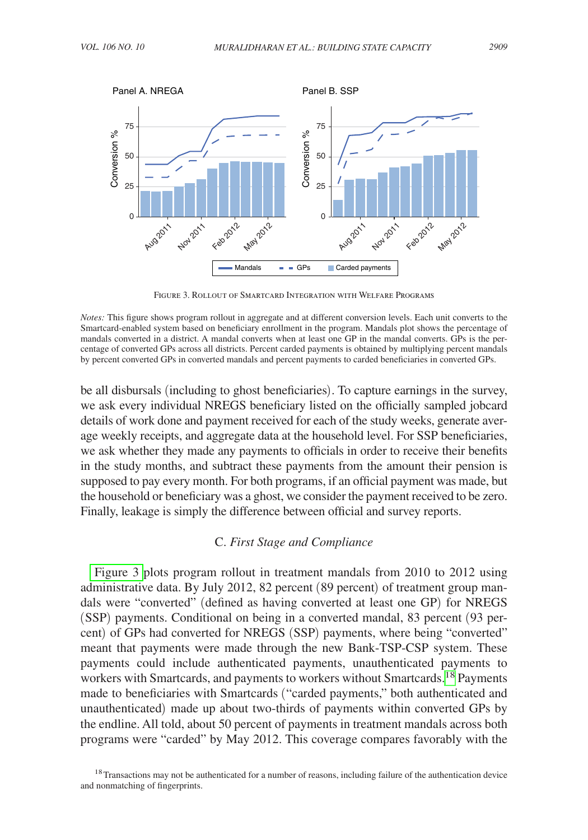

Figure 3. Rollout of Smartcard Integration with Welfare Programs

be all disbursals (including to ghost beneficiaries). To capture earnings in the survey, we ask every individual NREGS beneficiary listed on the officially sampled jobcard details of work done and payment received for each of the study weeks, generate average weekly receipts, and aggregate data at the household level. For SSP beneficiaries, we ask whether they made any payments to officials in order to receive their benefits in the study months, and subtract these payments from the amount their pension is supposed to pay every month. For both programs, if an official payment was made, but the household or beneficiary was a ghost, we consider the payment received to be zero. Finally, leakage is simply the difference between official and survey reports.

# C. *First Stage and Compliance*

Figure 3 plots program rollout in treatment mandals from 2010 to 2012 using administrative data. By July 2012, 82 percent (89 percent) of treatment group mandals were "converted" (defined as having converted at least one GP) for NREGS (SSP) payments. Conditional on being in a converted mandal, 83 percent (93 percent) of GPs had converted for NREGS (SSP) payments, where being "converted" meant that payments were made through the new Bank-TSP-CSP system. These payments could include authenticated payments, unauthenticated payments to workers with Smartcards, and payments to workers without Smartcards.<sup>18</sup> Payments made to beneficiaries with Smartcards ("carded payments," both authenticated and unauthenticated) made up about two-thirds of payments within converted GPs by the endline. All told, about 50 percent of payments in treatment mandals across both programs were "carded" by May 2012. This coverage compares favorably with the

*Notes:* This figure shows program rollout in aggregate and at different conversion levels. Each unit converts to the Smartcard-enabled system based on beneficiary enrollment in the program. Mandals plot shows the percentage of mandals converted in a district. A mandal converts when at least one GP in the mandal converts. GPs is the percentage of converted GPs across all districts. Percent carded payments is obtained by multiplying percent mandals by percent converted GPs in converted mandals and percent payments to carded beneficiaries in converted GPs.

<span id="page-14-0"></span><sup>&</sup>lt;sup>18</sup>Transactions may not be authenticated for a number of reasons, including failure of the authentication device and nonmatching of fingerprints.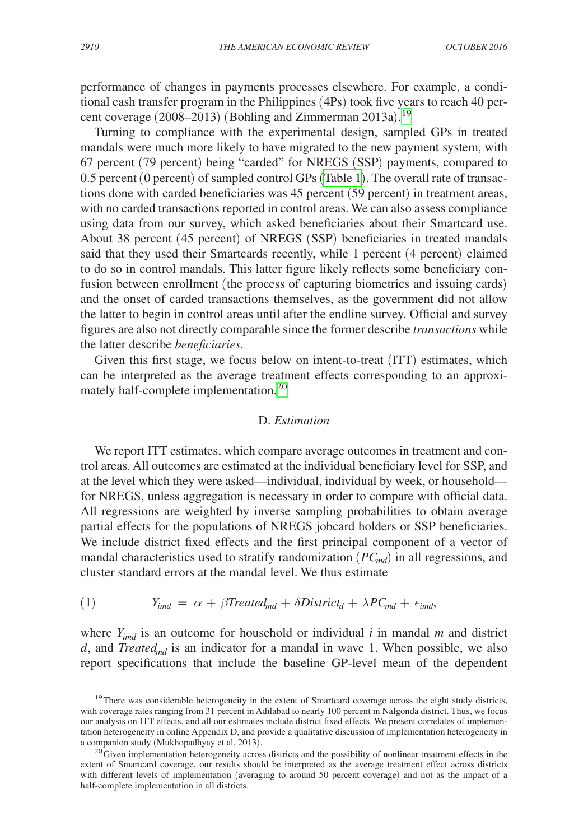performance of changes in payments processes elsewhere. For example, a conditional cash transfer program in the Philippines (4Ps) took five years to reach 40 percent coverage (2008–2013) (Bohling and Zimmerman 2013a). [19](#page-15-0)

Turning to compliance with the experimental design, sampled GPs in treated mandals were much more likely to have migrated to the new payment system, with 67 percent (79 percent) being "carded" for NREGS (SSP) payments, compared to 0.5 percent (0 percent) of sampled control GPs ([Table 1](#page-16-0)). The overall rate of transactions done with carded beneficiaries was 45 percent (59 percent) in treatment areas, with no carded transactions reported in control areas. We can also assess compliance using data from our survey, which asked beneficiaries about their Smartcard use. About 38 percent (45 percent) of NREGS (SSP) beneficiaries in treated mandals said that they used their Smartcards recently, while 1 percent (4 percent) claimed to do so in control mandals. This latter figure likely reflects some beneficiary confusion between enrollment (the process of capturing biometrics and issuing cards) and the onset of carded transactions themselves, as the government did not allow the latter to begin in control areas until after the endline survey. Official and survey figures are also not directly comparable since the former describe *transactions* while the latter describe *beneficiaries*.

Given this first stage, we focus below on intent-to-treat (ITT) estimates, which can be interpreted as the average treatment effects corresponding to an approximately half-complete implementation.<sup>20</sup>

# D. *Estimation*

We report ITT estimates, which compare average outcomes in treatment and control areas. All outcomes are estimated at the individual beneficiary level for SSP, and at the level which they were asked—individual, individual by week, or household for NREGS, unless aggregation is necessary in order to compare with official data. All regressions are weighted by inverse sampling probabilities to obtain average partial effects for the populations of NREGS jobcard holders or SSP beneficiaries. We include district fixed effects and the first principal component of a vector of mandal characteristics used to stratify randomization (*PCmd*) in all regressions, and cluster standard errors at the mandal level. We thus estimate

(1) 
$$
Y_{\text{ind}} = \alpha + \beta \text{Treated}_{\text{md}} + \delta \text{District}_{d} + \lambda \text{PC}_{\text{md}} + \epsilon_{\text{ind}}.
$$

where  $Y_{imd}$  is an outcome for household or individual *i* in mandal *m* and district  $d$ , and *Treated<sub>md</sub>* is an indicator for a mandal in wave 1. When possible, we also report specifications that include the baseline GP-level mean of the dependent

<span id="page-15-0"></span><sup>&</sup>lt;sup>19</sup>There was considerable heterogeneity in the extent of Smartcard coverage across the eight study districts, with coverage rates ranging from 31 percent in Adilabad to nearly 100 percent in Nalgonda district. Thus, we focus our analysis on ITT effects, and all our estimates include district fixed effects. We present correlates of implementation heterogeneity in online Appendix D, and provide a qualitative discussion of implementation heterogeneity in

<span id="page-15-1"></span>a companion study (Mukhopadhyay et al. 2013).<br><sup>20</sup>Given implementation heterogeneity across districts and the possibility of nonlinear treatment effects in the extent of Smartcard coverage, our results should be interpreted as the average treatment effect across districts with different levels of implementation (averaging to around 50 percent coverage) and not as the impact of a half-complete implementation in all districts.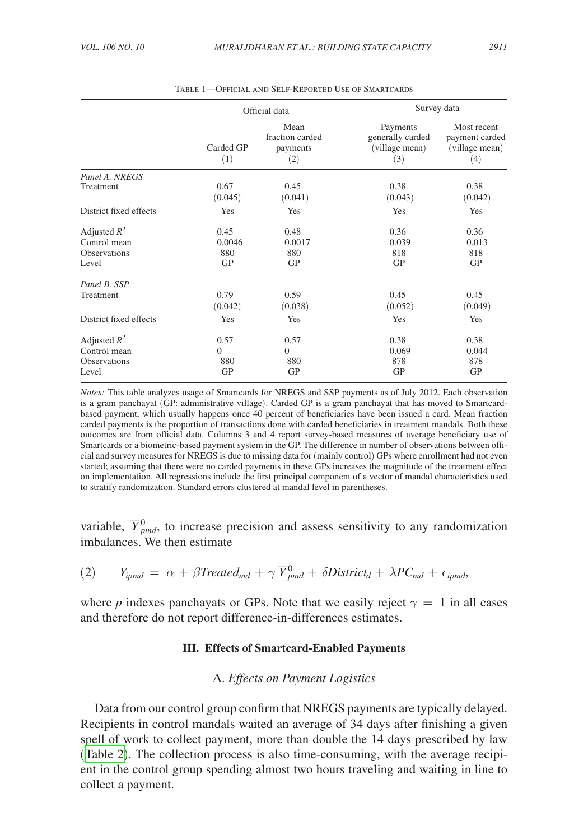<span id="page-16-0"></span>

|                        |                  | Official data                              | Survey data                                           |                                                        |  |  |
|------------------------|------------------|--------------------------------------------|-------------------------------------------------------|--------------------------------------------------------|--|--|
|                        | Carded GP<br>(1) | Mean<br>fraction carded<br>payments<br>(2) | Payments<br>generally carded<br>(village mean)<br>(3) | Most recent<br>payment carded<br>(village mean)<br>(4) |  |  |
| Panel A. NREGS         | 0.67             | 0.45                                       | 0.38                                                  | 0.38                                                   |  |  |
| <b>Treatment</b>       | (0.045)          | (0.041)                                    | (0.043)                                               | (0.042)                                                |  |  |
| District fixed effects | Yes              | Yes                                        | Yes                                                   | Yes                                                    |  |  |
| Adjusted $R^2$         | 0.45             | 0.48                                       | 0.36                                                  | 0.36                                                   |  |  |
| Control mean           | 0.0046           | 0.0017                                     | 0.039                                                 | 0.013                                                  |  |  |
| <b>Observations</b>    | 880              | 880                                        | 818                                                   | 818                                                    |  |  |
| Level                  | GP               | GP                                         | GP                                                    | GP                                                     |  |  |
| Panel B. SSP           | 0.79             | 0.59                                       | 0.45                                                  | 0.45                                                   |  |  |
| Treatment              | (0.042)          | (0.038)                                    | (0.052)                                               | (0.049)                                                |  |  |
| District fixed effects | Yes              | Yes                                        | Yes                                                   | Yes                                                    |  |  |
| Adjusted $R^2$         | 0.57             | 0.57                                       | 0.38                                                  | 0.38                                                   |  |  |
| Control mean           | $\Omega$         | $\Omega$                                   | 0.069                                                 | 0.044                                                  |  |  |
| <b>Observations</b>    | 880              | 880                                        | 878                                                   | 878                                                    |  |  |
| Level                  | GP               | <b>GP</b>                                  | GP                                                    | GP                                                     |  |  |

Table 1—Official and Self-Reported Use of Smartcards

*Notes:* This table analyzes usage of Smartcards for NREGS and SSP payments as of July 2012. Each observation is a gram panchayat (GP: administrative village). Carded GP is a gram panchayat that has moved to Smartcardbased payment, which usually happens once 40 percent of beneficiaries have been issued a card. Mean fraction carded payments is the proportion of transactions done with carded beneficiaries in treatment mandals. Both these outcomes are from official data. Columns 3 and 4 report survey-based measures of average beneficiary use of Smartcards or a biometric-based payment system in the GP. The difference in number of observations between official and survey measures for NREGS is due to missing data for (mainly control) GPs where enrollment had not even started; assuming that there were no carded payments in these GPs increases the magnitude of the treatment effect on implementation. All regressions include the first principal component of a vector of mandal characteristics used to stratify randomization. Standard errors clustered at mandal level in parentheses.

variable,  $\overline{Y}_{pmd}^{0}$ , to increase precision and assess sensitivity to any randomization imbalances. We then estimate

(2) 
$$
Y_{ipmd} = \alpha + \beta Treated_{md} + \gamma \overline{Y}_{pmd}^0 + \delta District_d + \lambda PC_{md} + \epsilon_{ipmd}
$$

where *p* indexes panchayats or GPs. Note that we easily reject  $\gamma = 1$  in all cases and therefore do not report difference-in-differences estimates.

#### **III. Effects of Smartcard-Enabled Payments**

### A. *Effects on Payment Logistics*

Data from our control group confirm that NREGS payments are typically delayed. Recipients in control mandals waited an average of 34 days after finishing a given spell of work to collect payment, more than double the 14 days prescribed by law ([Table 2](#page-17-0)). The collection process is also time-consuming, with the average recipient in the control group spending almost two hours traveling and waiting in line to collect a payment.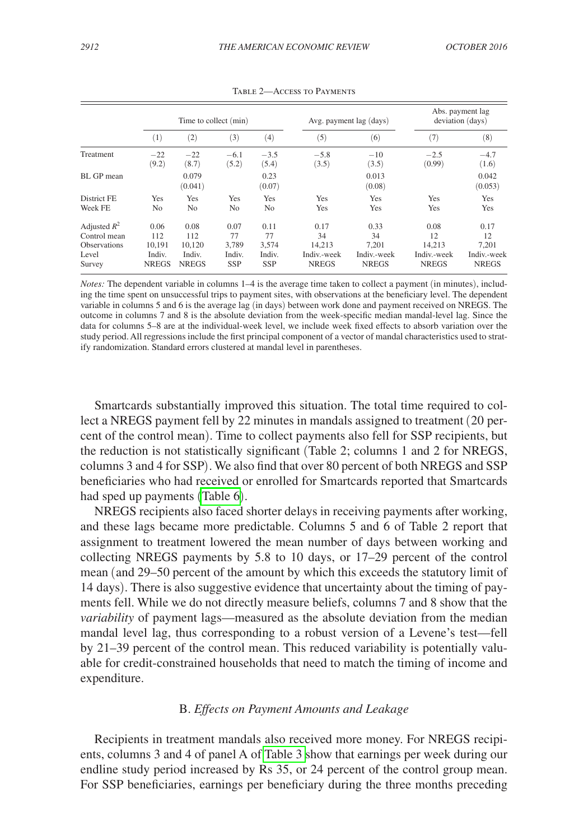<span id="page-17-0"></span>

| ◠<br>1<br>$\overline{\phantom{a}}$ |  |  |  |
|------------------------------------|--|--|--|
|                                    |  |  |  |

|                     |              | Time to collect (min) |            |                |              | Avg. payment lag (days) | Abs. payment lag<br>deviation (days) |                  |
|---------------------|--------------|-----------------------|------------|----------------|--------------|-------------------------|--------------------------------------|------------------|
|                     | (1)          | (2)                   | (3)        | (4)            | (5)          | (6)                     | (7)                                  | (8)              |
| Treatment           | $-22$        | $-22$                 | $-6.1$     | $-3.5$         | $-5.8$       | $-10$                   | $-2.5$                               | $-4.7$           |
|                     | (9.2)        | (8.7)                 | (5.2)      | (5.4)          | (3.5)        | (3.5)                   | (0.99)                               | (1.6)            |
| BL GP mean          |              | 0.079<br>(0.041)      |            | 0.23<br>(0.07) |              | 0.013<br>(0.08)         |                                      | 0.042<br>(0.053) |
| District FE         | <b>Yes</b>   | Yes                   | Yes        | Yes            | Yes          | Yes                     | Yes                                  | Yes              |
| Week FE             | No.          | N <sub>0</sub>        | No         | No             | Yes          | Yes                     | Yes                                  | Yes              |
| Adjusted $R^2$      | 0.06         | 0.08                  | 0.07       | 0.11           | 0.17         | 0.33                    | 0.08                                 | 0.17             |
| Control mean        | 112          | 112                   | 77         | 77             | 34           | 34                      | 12                                   | 12               |
| <b>Observations</b> | 10.191       | 10.120                | 3,789      | 3,574          | 14.213       | 7.201                   | 14.213                               | 7,201            |
| Level               | Indiv.       | Indiv.                | Indiv.     | Indiv.         | Indiv.-week  | Indiv.-week             | Indiv.-week                          | Indiv.-week      |
| Survey              | <b>NREGS</b> | <b>NREGS</b>          | <b>SSP</b> | <b>SSP</b>     | <b>NREGS</b> | <b>NREGS</b>            | <b>NREGS</b>                         | <b>NREGS</b>     |

Table 2—Access to Payments

*Notes:* The dependent variable in columns 1–4 is the average time taken to collect a payment (in minutes), including the time spent on unsuccessful trips to payment sites, with observations at the beneficiary level. The dependent variable in columns 5 and 6 is the average lag (in days) between work done and payment received on NREGS. The outcome in columns 7 and 8 is the absolute deviation from the week-specific median mandal-level lag. Since the data for columns 5–8 are at the individual-week level, we include week fixed effects to absorb variation over the study period. All regressions include the first principal component of a vector of mandal characteristics used to stratify randomization. Standard errors clustered at mandal level in parentheses.

Smartcards substantially improved this situation. The total time required to collect a NREGS payment fell by 22 minutes in mandals assigned to treatment (20 percent of the control mean). Time to collect payments also fell for SSP recipients, but the reduction is not statistically significant (Table 2; columns 1 and 2 for NREGS, columns 3 and 4 for SSP). We also find that over 80 percent of both NREGS and SSP beneficiaries who had received or enrolled for Smartcards reported that Smartcards had sped up payments ([Table 6](#page-25-0)).

NREGS recipients also faced shorter delays in receiving payments after working, and these lags became more predictable. Columns 5 and 6 of Table 2 report that assignment to treatment lowered the mean number of days between working and collecting NREGS payments by 5.8 to 10 days, or 17–29 percent of the control mean (and 29–50 percent of the amount by which this exceeds the statutory limit of 14 days). There is also suggestive evidence that uncertainty about the timing of payments fell. While we do not directly measure beliefs, columns 7 and 8 show that the *variability* of payment lags—measured as the absolute deviation from the median mandal level lag, thus corresponding to a robust version of a Levene's test—fell by 21–39 percent of the control mean. This reduced variability is potentially valuable for credit-constrained households that need to match the timing of income and expenditure.

### B. *Effects on Payment Amounts and Leakage*

Recipients in treatment mandals also received more money. For NREGS recipients, columns 3 and 4 of panel A of [Table 3](#page-18-0) show that earnings per week during our endline study period increased by Rs 35, or 24 percent of the control group mean. For SSP beneficiaries, earnings per beneficiary during the three months preceding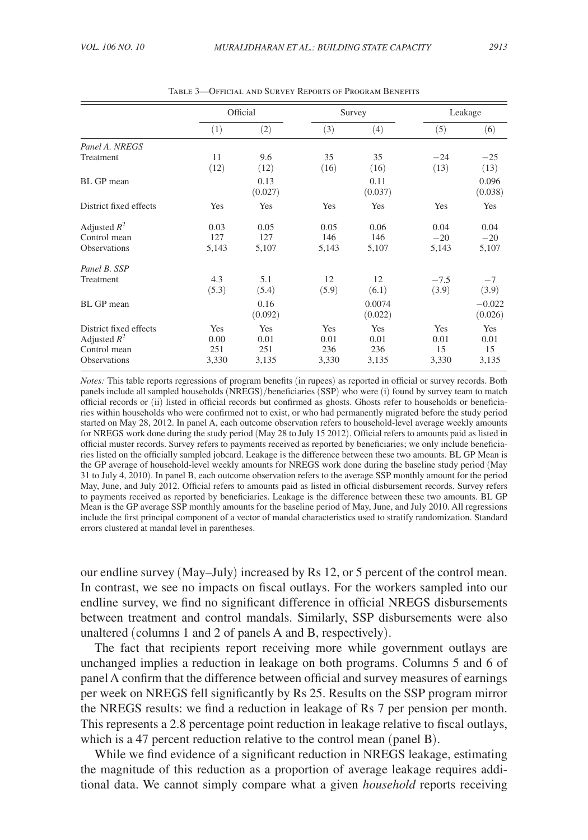<span id="page-18-0"></span>

|                                                                                 |                             | Official                    |                             | Survey                      |                            | Leakage                    |  |
|---------------------------------------------------------------------------------|-----------------------------|-----------------------------|-----------------------------|-----------------------------|----------------------------|----------------------------|--|
|                                                                                 | (1)                         | (2)                         | (3)                         | (4)                         | (5)                        | (6)                        |  |
| Panel A. NREGS                                                                  |                             |                             |                             |                             |                            |                            |  |
| Treatment                                                                       | 11<br>(12)                  | 9.6<br>(12)                 | 35<br>(16)                  | 35<br>(16)                  | $-24$<br>(13)              | $-25$<br>(13)              |  |
| BL GP mean                                                                      |                             | 0.13<br>(0.027)             |                             | 0.11<br>(0.037)             |                            | 0.096<br>(0.038)           |  |
| District fixed effects                                                          | Yes                         | Yes                         | Yes                         | Yes                         | Yes                        | Yes                        |  |
| Adjusted $R^2$<br>Control mean<br><b>Observations</b>                           | 0.03<br>127<br>5,143        | 0.05<br>127<br>5,107        | 0.05<br>146<br>5,143        | 0.06<br>146<br>5,107        | 0.04<br>$-20$<br>5,143     | 0.04<br>$-20$<br>5,107     |  |
| Panel B. SSP                                                                    |                             |                             |                             |                             |                            |                            |  |
| Treatment                                                                       | 4.3<br>(5.3)                | 5.1<br>(5.4)                | 12<br>(5.9)                 | 12<br>(6.1)                 | $-7.5$<br>(3.9)            | $-7$<br>(3.9)              |  |
| BL GP mean                                                                      |                             | 0.16<br>(0.092)             |                             | 0.0074<br>(0.022)           |                            | $-0.022$<br>(0.026)        |  |
| District fixed effects<br>Adjusted $R^2$<br>Control mean<br><b>Observations</b> | Yes<br>0.00<br>251<br>3,330 | Yes<br>0.01<br>251<br>3,135 | Yes<br>0.01<br>236<br>3,330 | Yes<br>0.01<br>236<br>3,135 | Yes<br>0.01<br>15<br>3,330 | Yes<br>0.01<br>15<br>3,135 |  |

Table 3—Official and Survey Reports of Program Benefits

*Notes:* This table reports regressions of program benefits (in rupees) as reported in official or survey records. Both panels include all sampled households (NREGS)/beneficiaries (SSP) who were (i) found by survey team to match official records or (ii) listed in official records but confirmed as ghosts. Ghosts refer to households or beneficiaries within households who were confirmed not to exist, or who had permanently migrated before the study period started on May 28, 2012. In panel A, each outcome observation refers to household-level average weekly amounts for NREGS work done during the study period (May 28 to July 15 2012). Official refers to amounts paid as listed in official muster records. Survey refers to payments received as reported by beneficiaries; we only include beneficiaries listed on the officially sampled jobcard. Leakage is the difference between these two amounts. BL GP Mean is the GP average of household-level weekly amounts for NREGS work done during the baseline study period (May 31 to July 4, 2010). In panel B, each outcome observation refers to the average SSP monthly amount for the period May, June, and July 2012. Official refers to amounts paid as listed in official disbursement records. Survey refers to payments received as reported by beneficiaries. Leakage is the difference between these two amounts. BL GP Mean is the GP average SSP monthly amounts for the baseline period of May, June, and July 2010. All regressions include the first principal component of a vector of mandal characteristics used to stratify randomization. Standard errors clustered at mandal level in parentheses.

our endline survey (May–July) increased by Rs 12, or 5 percent of the control mean. In contrast, we see no impacts on fiscal outlays. For the workers sampled into our endline survey, we find no significant difference in official NREGS disbursements between treatment and control mandals. Similarly, SSP disbursements were also unaltered (columns 1 and 2 of panels A and B, respectively).

The fact that recipients report receiving more while government outlays are unchanged implies a reduction in leakage on both programs. Columns 5 and 6 of panel A confirm that the difference between official and survey measures of earnings per week on NREGS fell significantly by Rs 25. Results on the SSP program mirror the NREGS results: we find a reduction in leakage of Rs 7 per pension per month. This represents a 2.8 percentage point reduction in leakage relative to fiscal outlays, which is a 47 percent reduction relative to the control mean (panel B).

While we find evidence of a significant reduction in NREGS leakage, estimating the magnitude of this reduction as a proportion of average leakage requires additional data. We cannot simply compare what a given *household* reports receiving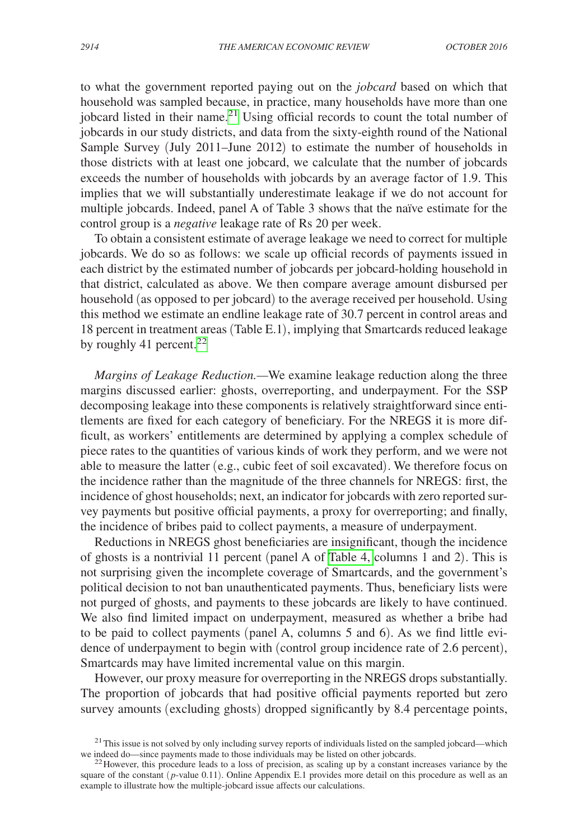to what the government reported paying out on the *jobcard* based on which that household was sampled because, in practice, many households have more than one jobcard listed in their name.<sup>[21](#page-19-0)</sup> Using official records to count the total number of jobcards in our study districts, and data from the sixty-eighth round of the National Sample Survey (July 2011–June 2012) to estimate the number of households in those districts with at least one jobcard, we calculate that the number of jobcards exceeds the number of households with jobcards by an average factor of 1.9. This implies that we will substantially underestimate leakage if we do not account for multiple jobcards. Indeed, panel A of Table 3 shows that the naïve estimate for the control group is a *negative* leakage rate of Rs 20 per week.

To obtain a consistent estimate of average leakage we need to correct for multiple jobcards. We do so as follows: we scale up official records of payments issued in each district by the estimated number of jobcards per jobcard-holding household in that district, calculated as above. We then compare average amount disbursed per household (as opposed to per jobcard) to the average received per household. Using this method we estimate an endline leakage rate of 30.7 percent in control areas and 18 percent in treatment areas (Table E.1), implying that Smartcards reduced leakage by roughly 41 percent.<sup>[22](#page-19-1)</sup>

*Margins of Leakage Reduction.—*We examine leakage reduction along the three margins discussed earlier: ghosts, overreporting, and underpayment. For the SSP decomposing leakage into these components is relatively straightforward since entitlements are fixed for each category of beneficiary. For the NREGS it is more difficult, as workers' entitlements are determined by applying a complex schedule of piece rates to the quantities of various kinds of work they perform, and we were not able to measure the latter (e.g., cubic feet of soil excavated). We therefore focus on the incidence rather than the magnitude of the three channels for NREGS: first, the incidence of ghost households; next, an indicator for jobcards with zero reported survey payments but positive official payments, a proxy for overreporting; and finally, the incidence of bribes paid to collect payments, a measure of underpayment.

Reductions in NREGS ghost beneficiaries are insignificant, though the incidence of ghosts is a nontrivial 11 percent (panel A of [Table 4,](#page-20-0) columns 1 and 2). This is not surprising given the incomplete coverage of Smartcards, and the government's political decision to not ban unauthenticated payments. Thus, beneficiary lists were not purged of ghosts, and payments to these jobcards are likely to have continued. We also find limited impact on underpayment, measured as whether a bribe had to be paid to collect payments (panel A, columns 5 and 6). As we find little evidence of underpayment to begin with (control group incidence rate of 2.6 percent), Smartcards may have limited incremental value on this margin.

However, our proxy measure for overreporting in the NREGS drops substantially. The proportion of jobcards that had positive official payments reported but zero survey amounts (excluding ghosts) dropped significantly by 8.4 percentage points,

<span id="page-19-0"></span><sup>&</sup>lt;sup>21</sup>This issue is not solved by only including survey reports of individuals listed on the sampled jobcard—which we indeed do—since payments made to those individuals may be listed on other jobcards.

<span id="page-19-1"></span> $22$  However, this procedure leads to a loss of precision, as scaling up by a constant increases variance by the square of the constant  $(p$ -value 0.11). Online Appendix E.1 provides more detail on this procedure as well as an example to illustrate how the multiple-jobcard issue affects our calculations.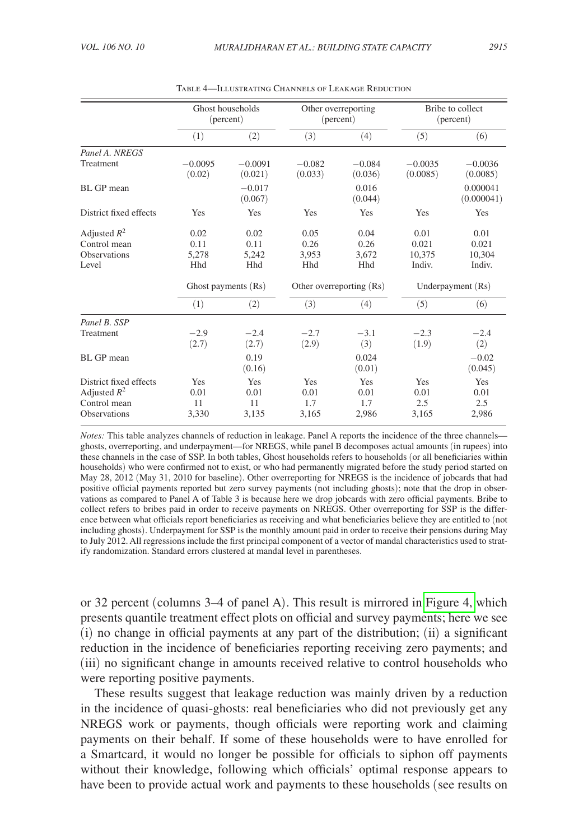<span id="page-20-0"></span>

|                                                                                 | Ghost households<br>(percent) |                              |                              | Other overreporting<br>(percent) | Bribe to collect<br>(percent)     |                                   |  |
|---------------------------------------------------------------------------------|-------------------------------|------------------------------|------------------------------|----------------------------------|-----------------------------------|-----------------------------------|--|
|                                                                                 | (1)                           | (2)                          | (3)                          | (4)                              | (5)                               | (6)                               |  |
| Panel A. NREGS                                                                  |                               |                              |                              |                                  |                                   |                                   |  |
| <b>Treatment</b>                                                                | $-0.0095$<br>(0.02)           | $-0.0091$<br>(0.021)         | $-0.082$<br>(0.033)          | $-0.084$<br>(0.036)              | $-0.0035$<br>(0.0085)             | $-0.0036$<br>(0.0085)             |  |
| BL GP mean                                                                      |                               | $-0.017$<br>(0.067)          |                              | 0.016<br>(0.044)                 |                                   | 0.000041<br>(0.000041)            |  |
| District fixed effects                                                          | Yes                           | Yes                          | Yes                          | Yes                              | Yes                               | Yes                               |  |
| Adjusted $R^2$<br>Control mean<br>Observations<br>Level                         | 0.02<br>0.11<br>5,278<br>Hhd  | 0.02<br>0.11<br>5,242<br>Hhd | 0.05<br>0.26<br>3,953<br>Hhd | 0.04<br>0.26<br>3,672<br>Hhd     | 0.01<br>0.021<br>10,375<br>Indiv. | 0.01<br>0.021<br>10,304<br>Indiv. |  |
|                                                                                 | Ghost payments (Rs)           |                              |                              | Other overreporting (Rs)         | Underpayment (Rs)                 |                                   |  |
|                                                                                 | (1)                           | (2)                          | (3)                          | (4)                              | (5)                               | (6)                               |  |
| Panel B. SSP                                                                    |                               |                              |                              |                                  |                                   |                                   |  |
| Treatment                                                                       | $-2.9$<br>(2.7)               | $-2.4$<br>(2.7)              | $-2.7$<br>(2.9)              | $-3.1$<br>(3)                    | $-2.3$<br>(1.9)                   | $-2.4$<br>(2)                     |  |
| BL GP mean                                                                      |                               | 0.19<br>(0.16)               |                              | 0.024<br>(0.01)                  |                                   | $-0.02$<br>(0.045)                |  |
| District fixed effects<br>Adjusted $R^2$<br>Control mean<br><b>Observations</b> | Yes<br>0.01<br>11<br>3,330    | Yes<br>0.01<br>11<br>3,135   | Yes<br>0.01<br>1.7<br>3,165  | Yes<br>0.01<br>1.7<br>2,986      | Yes<br>0.01<br>2.5<br>3,165       | Yes<br>0.01<br>2.5<br>2,986       |  |

Table 4—Illustrating Channels of Leakage Reduction

*Notes:* This table analyzes channels of reduction in leakage. Panel A reports the incidence of the three channels ghosts, overreporting, and underpayment—for NREGS, while panel B decomposes actual amounts (in rupees) into these channels in the case of SSP. In both tables, Ghost households refers to households (or all beneficiaries within households) who were confirmed not to exist, or who had permanently migrated before the study period started on May 28, 2012 (May 31, 2010 for baseline). Other overreporting for NREGS is the incidence of jobcards that had positive official payments reported but zero survey payments (not including ghosts); note that the drop in observations as compared to Panel A of Table 3 is because here we drop jobcards with zero official payments. Bribe to collect refers to bribes paid in order to receive payments on NREGS. Other overreporting for SSP is the difference between what officials report beneficiaries as receiving and what beneficiaries believe they are entitled to (not including ghosts). Underpayment for SSP is the monthly amount paid in order to receive their pensions during May to July 2012. All regressions include the first principal component of a vector of mandal characteristics used to stratify randomization. Standard errors clustered at mandal level in parentheses.

or 32 percent (columns 3–4 of panel A). This result is mirrored in [Figure 4,](#page-21-0) which presents quantile treatment effect plots on official and survey payments; here we see (i) no change in official payments at any part of the distribution; (ii) a significant reduction in the incidence of beneficiaries reporting receiving zero payments; and (iii) no significant change in amounts received relative to control households who were reporting positive payments.

These results suggest that leakage reduction was mainly driven by a reduction in the incidence of quasi-ghosts: real beneficiaries who did not previously get any NREGS work or payments, though officials were reporting work and claiming payments on their behalf. If some of these households were to have enrolled for a Smartcard, it would no longer be possible for officials to siphon off payments without their knowledge, following which officials' optimal response appears to have been to provide actual work and payments to these households (see results on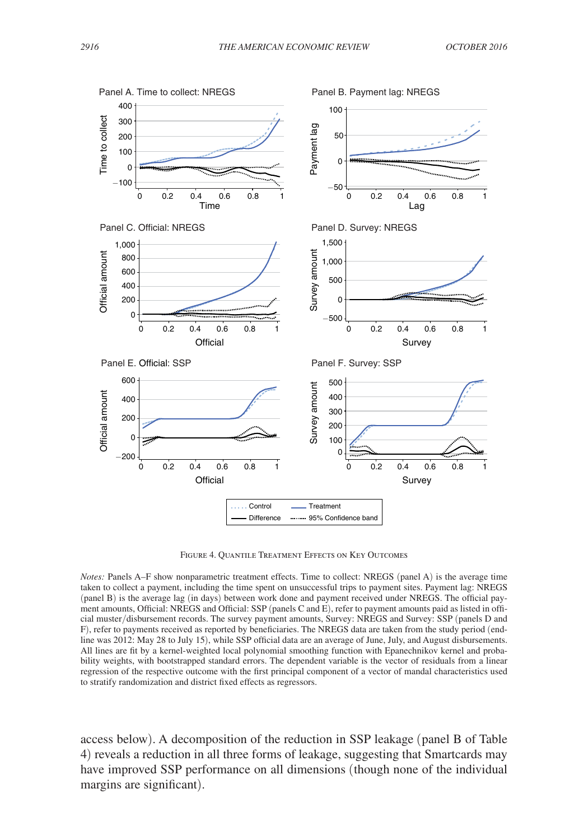<span id="page-21-0"></span>

Figure 4. Quantile Treatment Effects on Key Outcomes

*Notes:* Panels A–F show nonparametric treatment effects. Time to collect: NREGS (panel A) is the average time taken to collect a payment, including the time spent on unsuccessful trips to payment sites. Payment lag: NREGS (panel B) is the average lag (in days) between work done and payment received under NREGS. The official payment amounts, Official: NREGS and Official: SSP (panels C and E), refer to payment amounts paid as listed in official muster/disbursement records. The survey payment amounts, Survey: NREGS and Survey: SSP (panels D and F), refer to payments received as reported by beneficiaries. The NREGS data are taken from the study period (endline was 2012: May 28 to July 15), while SSP official data are an average of June, July, and August disbursements. All lines are fit by a kernel-weighted local polynomial smoothing function with Epanechnikov kernel and probability weights, with bootstrapped standard errors. The dependent variable is the vector of residuals from a linear regression of the respective outcome with the first principal component of a vector of mandal characteristics used to stratify randomization and district fixed effects as regressors.

access below). A decomposition of the reduction in SSP leakage (panel B of Table 4) reveals a reduction in all three forms of leakage, suggesting that Smartcards may have improved SSP performance on all dimensions (though none of the individual margins are significant).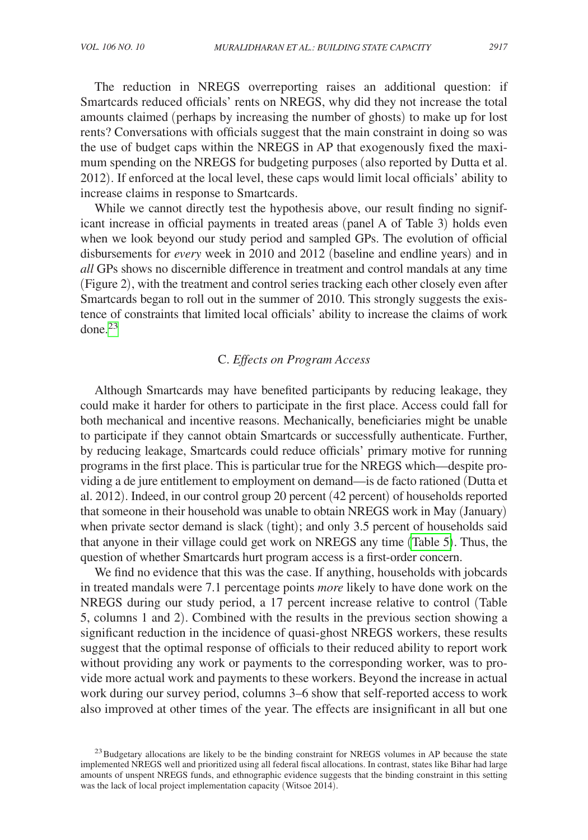The reduction in NREGS overreporting raises an additional question: if Smartcards reduced officials' rents on NREGS, why did they not increase the total amounts claimed (perhaps by increasing the number of ghosts) to make up for lost rents? Conversations with officials suggest that the main constraint in doing so was the use of budget caps within the NREGS in AP that exogenously fixed the maximum spending on the NREGS for budgeting purposes (also reported by Dutta et al. 2012). If enforced at the local level, these caps would limit local officials' ability to increase claims in response to Smartcards.

While we cannot directly test the hypothesis above, our result finding no significant increase in official payments in treated areas (panel A of Table 3) holds even when we look beyond our study period and sampled GPs. The evolution of official disbursements for *every* week in 2010 and 2012 (baseline and endline years) and in *all* GPs shows no discernible difference in treatment and control mandals at any time (Figure 2), with the treatment and control series tracking each other closely even after Smartcards began to roll out in the summer of 2010. This strongly suggests the existence of constraints that limited local officials' ability to increase the claims of work done $^{23}$  $^{23}$  $^{23}$ 

# C. *Effects on Program Access*

Although Smartcards may have benefited participants by reducing leakage, they could make it harder for others to participate in the first place. Access could fall for both mechanical and incentive reasons. Mechanically, beneficiaries might be unable to participate if they cannot obtain Smartcards or successfully authenticate. Further, by reducing leakage, Smartcards could reduce officials' primary motive for running programs in the first place. This is particular true for the NREGS which—despite providing a de jure entitlement to employment on demand—is de facto rationed (Dutta et al. 2012). Indeed, in our control group 20 percent (42 percent) of households reported that someone in their household was unable to obtain NREGS work in May (January) when private sector demand is slack (tight); and only 3.5 percent of households said that anyone in their village could get work on NREGS any time ([Table 5](#page-23-0)). Thus, the question of whether Smartcards hurt program access is a first-order concern.

We find no evidence that this was the case. If anything, households with jobcards in treated mandals were 7.1 percentage points *more* likely to have done work on the NREGS during our study period, a 17 percent increase relative to control (Table 5, columns 1 and 2). Combined with the results in the previous section showing a significant reduction in the incidence of quasi-ghost NREGS workers, these results suggest that the optimal response of officials to their reduced ability to report work without providing any work or payments to the corresponding worker, was to provide more actual work and payments to these workers. Beyond the increase in actual work during our survey period, columns 3–6 show that self-reported access to work also improved at other times of the year. The effects are insignificant in all but one

<span id="page-22-0"></span><sup>&</sup>lt;sup>23</sup>Budgetary allocations are likely to be the binding constraint for NREGS volumes in AP because the state implemented NREGS well and prioritized using all federal fiscal allocations. In contrast, states like Bihar had large amounts of unspent NREGS funds, and ethnographic evidence suggests that the binding constraint in this setting was the lack of local project implementation capacity (Witsoe 2014).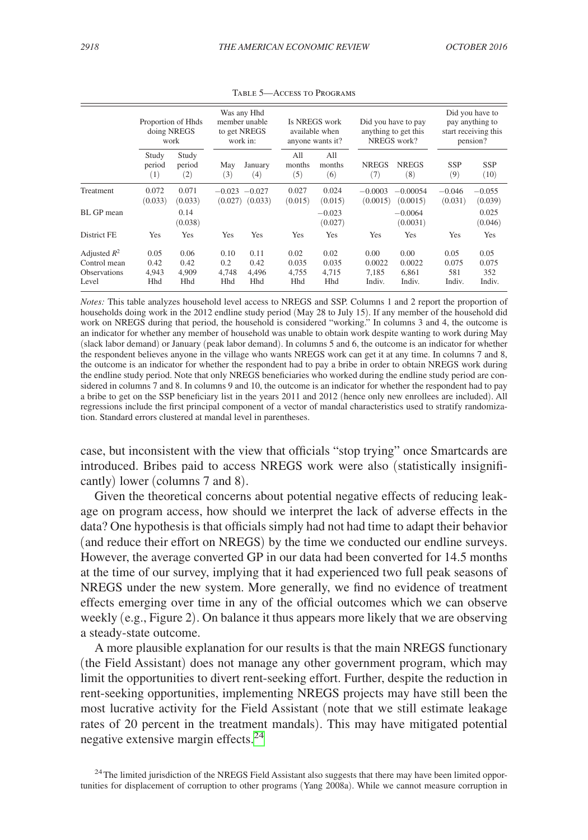<span id="page-23-0"></span>

|                                                                | Proportion of Hhds<br>doing NREGS<br>work |                              | Was any Hhd<br>member unable<br>to get NREGS<br>work in: |                              | Is NREGS work<br>available when<br>anyone wants it? |                               | Did you have to pay<br>anything to get this<br>NREGS work? |                                   |                                | Did you have to<br>pay anything to<br>start receiving this<br>pension? |  |
|----------------------------------------------------------------|-------------------------------------------|------------------------------|----------------------------------------------------------|------------------------------|-----------------------------------------------------|-------------------------------|------------------------------------------------------------|-----------------------------------|--------------------------------|------------------------------------------------------------------------|--|
|                                                                | Study<br>period<br>$\left(1\right)$       | Study<br>period<br>(2)       | May<br>(3)                                               | January<br>(4)               | All<br>months<br>(5)                                | All<br>months<br>(6)          | <b>NREGS</b><br>(7)                                        | <b>NREGS</b><br>(8)               | <b>SSP</b><br>(9)              | <b>SSP</b><br>(10)                                                     |  |
| Treatment                                                      | 0.072<br>(0.033)                          | 0.071<br>(0.033)             | $-0.023$<br>(0.027)                                      | $-0.027$<br>(0.033)          | 0.027<br>(0.015)                                    | 0.024<br>(0.015)              | $-0.0003$<br>(0.0015)                                      | $-0.00054$<br>(0.0015)            | $-0.046$<br>(0.031)            | $-0.055$<br>(0.039)                                                    |  |
| BL GP mean                                                     |                                           | 0.14<br>(0.038)              |                                                          |                              |                                                     | $-0.023$<br>(0.027)           |                                                            | $-0.0064$<br>(0.0031)             |                                | 0.025<br>(0.046)                                                       |  |
| District FE                                                    | Yes                                       | Yes                          | <b>Yes</b>                                               | Yes                          | Yes                                                 | Yes                           | Yes                                                        | Yes                               | <b>Yes</b>                     | Yes                                                                    |  |
| Adjusted $R^2$<br>Control mean<br><b>Observations</b><br>Level | 0.05<br>0.42<br>4,943<br>Hhd              | 0.06<br>0.42<br>4,909<br>Hhd | 0.10<br>0.2<br>4,748<br>Hhd                              | 0.11<br>0.42<br>4,496<br>Hhd | 0.02<br>0.035<br>4,755<br>Hhd                       | 0.02<br>0.035<br>4,715<br>Hhd | 0.00<br>0.0022<br>7.185<br>Indiv.                          | 0.00<br>0.0022<br>6.861<br>Indiv. | 0.05<br>0.075<br>581<br>Indiv. | 0.05<br>0.075<br>352<br>Indiv.                                         |  |

Table 5—Access to Programs

*Notes:* This table analyzes household level access to NREGS and SSP. Columns 1 and 2 report the proportion of households doing work in the 2012 endline study period (May 28 to July 15). If any member of the household did work on NREGS during that period, the household is considered "working." In columns 3 and 4, the outcome is an indicator for whether any member of household was unable to obtain work despite wanting to work during May (slack labor demand) or January (peak labor demand). In columns 5 and 6, the outcome is an indicator for whether the respondent believes anyone in the village who wants NREGS work can get it at any time. In columns 7 and 8, the outcome is an indicator for whether the respondent had to pay a bribe in order to obtain NREGS work during the endline study period. Note that only NREGS beneficiaries who worked during the endline study period are considered in columns 7 and 8. In columns 9 and 10, the outcome is an indicator for whether the respondent had to pay a bribe to get on the SSP beneficiary list in the years 2011 and 2012 (hence only new enrollees are included). All regressions include the first principal component of a vector of mandal characteristics used to stratify randomization. Standard errors clustered at mandal level in parentheses.

case, but inconsistent with the view that officials "stop trying" once Smartcards are introduced. Bribes paid to access NREGS work were also (statistically insignificantly) lower (columns 7 and 8).

Given the theoretical concerns about potential negative effects of reducing leakage on program access, how should we interpret the lack of adverse effects in the data? One hypothesis is that officials simply had not had time to adapt their behavior (and reduce their effort on NREGS) by the time we conducted our endline surveys. However, the average converted GP in our data had been converted for 14.5 months at the time of our survey, implying that it had experienced two full peak seasons of NREGS under the new system. More generally, we find no evidence of treatment effects emerging over time in any of the official outcomes which we can observe weekly (e.g., Figure 2). On balance it thus appears more likely that we are observing a steady-state outcome.

A more plausible explanation for our results is that the main NREGS functionary (the Field Assistant) does not manage any other government program, which may limit the opportunities to divert rent-seeking effort. Further, despite the reduction in rent-seeking opportunities, implementing NREGS projects may have still been the most lucrative activity for the Field Assistant (note that we still estimate leakage rates of 20 percent in the treatment mandals). This may have mitigated potential negative extensive margin effects.<sup>[24](#page-23-1)</sup>

<span id="page-23-1"></span><sup>24</sup>The limited jurisdiction of the NREGS Field Assistant also suggests that there may have been limited opportunities for displacement of corruption to other programs (Yang 2008a). While we cannot measure corruption in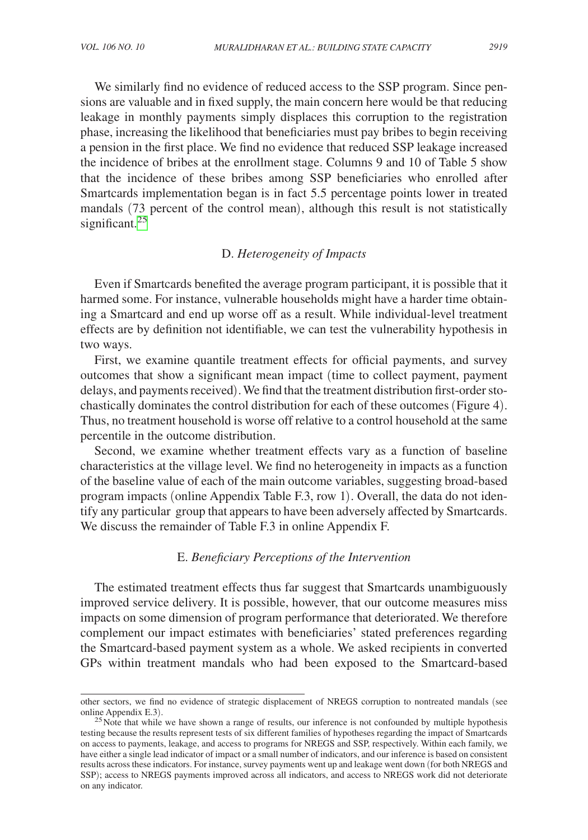We similarly find no evidence of reduced access to the SSP program. Since pensions are valuable and in fixed supply, the main concern here would be that reducing leakage in monthly payments simply displaces this corruption to the registration phase, increasing the likelihood that beneficiaries must pay bribes to begin receiving a pension in the first place. We find no evidence that reduced SSP leakage increased the incidence of bribes at the enrollment stage. Columns 9 and 10 of Table 5 show that the incidence of these bribes among SSP beneficiaries who enrolled after Smartcards implementation began is in fact 5.5 percentage points lower in treated mandals (73 percent of the control mean), although this result is not statistically significant.<sup>[25](#page-24-0)</sup>

# D. *Heterogeneity of Impacts*

Even if Smartcards benefited the average program participant, it is possible that it harmed some. For instance, vulnerable households might have a harder time obtaining a Smartcard and end up worse off as a result. While individual-level treatment effects are by definition not identifiable, we can test the vulnerability hypothesis in two ways.

First, we examine quantile treatment effects for official payments, and survey outcomes that show a significant mean impact (time to collect payment, payment delays, and payments received). We find that the treatment distribution first-order stochastically dominates the control distribution for each of these outcomes (Figure 4). Thus, no treatment household is worse off relative to a control household at the same percentile in the outcome distribution.

Second, we examine whether treatment effects vary as a function of baseline characteristics at the village level. We find no heterogeneity in impacts as a function of the baseline value of each of the main outcome variables, suggesting broad-based program impacts (online Appendix Table F.3, row 1). Overall, the data do not identify any particular group that appears to have been adversely affected by Smartcards. We discuss the remainder of Table F.3 in online Appendix F.

# E. *Beneficiary Perceptions of the Intervention*

The estimated treatment effects thus far suggest that Smartcards unambiguously improved service delivery. It is possible, however, that our outcome measures miss impacts on some dimension of program performance that deteriorated. We therefore complement our impact estimates with beneficiaries' stated preferences regarding the Smartcard-based payment system as a whole. We asked recipients in converted GPs within treatment mandals who had been exposed to the Smartcard-based

other sectors, we find no evidence of strategic displacement of NREGS corruption to nontreated mandals (see online Appendix E.3).

<span id="page-24-0"></span> $25$  Note that while we have shown a range of results, our inference is not confounded by multiple hypothesis testing because the results represent tests of six different families of hypotheses regarding the impact of Smartcards on access to payments, leakage, and access to programs for NREGS and SSP, respectively. Within each family, we have either a single lead indicator of impact or a small number of indicators, and our inference is based on consistent results across these indicators. For instance, survey payments went up and leakage went down (for both NREGS and SSP); access to NREGS payments improved across all indicators, and access to NREGS work did not deteriorate on any indicator.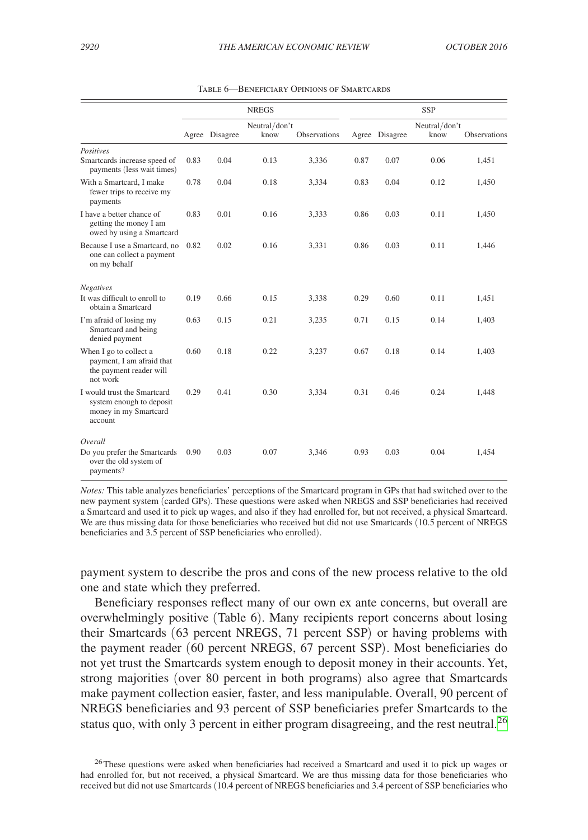<span id="page-25-0"></span>

|                                                                                             |      |                | <b>NREGS</b>          |              |      |                | <b>SSP</b>            |              |
|---------------------------------------------------------------------------------------------|------|----------------|-----------------------|--------------|------|----------------|-----------------------|--------------|
|                                                                                             |      | Agree Disagree | Neutral/don't<br>know | Observations |      | Agree Disagree | Neutral/don't<br>know | Observations |
| Positives<br>Smartcards increase speed of<br>payments (less wait times)                     | 0.83 | 0.04           | 0.13                  | 3,336        | 0.87 | 0.07           | 0.06                  | 1,451        |
| With a Smartcard, I make<br>fewer trips to receive my<br>payments                           | 0.78 | 0.04           | 0.18                  | 3,334        | 0.83 | 0.04           | 0.12                  | 1,450        |
| I have a better chance of<br>getting the money I am<br>owed by using a Smartcard            | 0.83 | 0.01           | 0.16                  | 3.333        | 0.86 | 0.03           | 0.11                  | 1,450        |
| Because I use a Smartcard, no<br>one can collect a payment<br>on my behalf                  | 0.82 | 0.02           | 0.16                  | 3,331        | 0.86 | 0.03           | 0.11                  | 1,446        |
| Negatives                                                                                   |      |                |                       |              |      |                |                       |              |
| It was difficult to enroll to<br>obtain a Smartcard                                         | 0.19 | 0.66           | 0.15                  | 3,338        | 0.29 | 0.60           | 0.11                  | 1,451        |
| I'm afraid of losing my<br>Smartcard and being<br>denied payment                            | 0.63 | 0.15           | 0.21                  | 3,235        | 0.71 | 0.15           | 0.14                  | 1,403        |
| When I go to collect a<br>payment, I am afraid that<br>the payment reader will<br>not work  | 0.60 | 0.18           | 0.22                  | 3,237        | 0.67 | 0.18           | 0.14                  | 1,403        |
| I would trust the Smartcard<br>system enough to deposit<br>money in my Smartcard<br>account | 0.29 | 0.41           | 0.30                  | 3,334        | 0.31 | 0.46           | 0.24                  | 1,448        |
| Overall                                                                                     |      |                |                       |              |      |                |                       |              |
| Do you prefer the Smartcards<br>over the old system of<br>payments?                         | 0.90 | 0.03           | 0.07                  | 3,346        | 0.93 | 0.03           | 0.04                  | 1,454        |

Table 6—Beneficiary Opinions of Smartcards

*Notes:* This table analyzes beneficiaries' perceptions of the Smartcard program in GPs that had switched over to the new payment system (carded GPs). These questions were asked when NREGS and SSP beneficiaries had received a Smartcard and used it to pick up wages, and also if they had enrolled for, but not received, a physical Smartcard. We are thus missing data for those beneficiaries who received but did not use Smartcards (10.5 percent of NREGS beneficiaries and 3.5 percent of SSP beneficiaries who enrolled).

payment system to describe the pros and cons of the new process relative to the old one and state which they preferred.

Beneficiary responses reflect many of our own ex ante concerns, but overall are overwhelmingly positive (Table 6). Many recipients report concerns about losing their Smartcards (63 percent NREGS, 71 percent SSP) or having problems with the payment reader (60 percent NREGS, 67 percent SSP). Most beneficiaries do not yet trust the Smartcards system enough to deposit money in their accounts. Yet, strong majorities (over 80 percent in both programs) also agree that Smartcards make payment collection easier, faster, and less manipulable. Overall, 90 percent of NREGS beneficiaries and 93 percent of SSP beneficiaries prefer Smartcards to the status quo, with only 3 percent in either program disagreeing, and the rest neutral.<sup>[26](#page-25-1)</sup>

<span id="page-25-1"></span><sup>26</sup>These questions were asked when beneficiaries had received a Smartcard and used it to pick up wages or had enrolled for, but not received, a physical Smartcard. We are thus missing data for those beneficiaries who received but did not use Smartcards (10.4 percent of NREGS beneficiaries and 3.4 percent of SSP beneficiaries who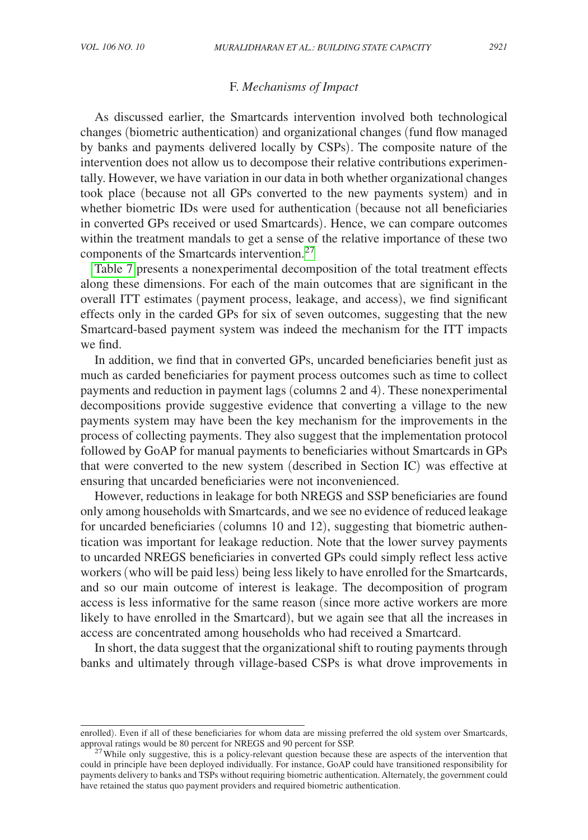# F. *Mechanisms of Impact*

As discussed earlier, the Smartcards intervention involved both technological changes (biometric authentication) and organizational changes (fund flow managed by banks and payments delivered locally by CSPs). The composite nature of the intervention does not allow us to decompose their relative contributions experimentally. However, we have variation in our data in both whether organizational changes took place (because not all GPs converted to the new payments system) and in whether biometric IDs were used for authentication (because not all beneficiaries in converted GPs received or used Smartcards). Hence, we can compare outcomes within the treatment mandals to get a sense of the relative importance of these two components of the Smartcards intervention.[27](#page-26-0)

[Table 7](#page-27-0) presents a nonexperimental decomposition of the total treatment effects along these dimensions. For each of the main outcomes that are significant in the overall ITT estimates (payment process, leakage, and access), we find significant effects only in the carded GPs for six of seven outcomes, suggesting that the new Smartcard-based payment system was indeed the mechanism for the ITT impacts we find.

In addition, we find that in converted GPs, uncarded beneficiaries benefit just as much as carded beneficiaries for payment process outcomes such as time to collect payments and reduction in payment lags (columns 2 and 4). These nonexperimental decompositions provide suggestive evidence that converting a village to the new payments system may have been the key mechanism for the improvements in the process of collecting payments. They also suggest that the implementation protocol followed by GoAP for manual payments to beneficiaries without Smartcards in GPs that were converted to the new system (described in Section IC) was effective at ensuring that uncarded beneficiaries were not inconvenienced.

However, reductions in leakage for both NREGS and SSP beneficiaries are found only among households with Smartcards, and we see no evidence of reduced leakage for uncarded beneficiaries (columns 10 and 12), suggesting that biometric authentication was important for leakage reduction. Note that the lower survey payments to uncarded NREGS beneficiaries in converted GPs could simply reflect less active workers (who will be paid less) being less likely to have enrolled for the Smartcards, and so our main outcome of interest is leakage. The decomposition of program access is less informative for the same reason (since more active workers are more likely to have enrolled in the Smartcard), but we again see that all the increases in access are concentrated among households who had received a Smartcard.

In short, the data suggest that the organizational shift to routing payments through banks and ultimately through village-based CSPs is what drove improvements in

enrolled). Even if all of these beneficiaries for whom data are missing preferred the old system over Smartcards, approval ratings would be 80 percent for NREGS and 90 percent for SSP.

<span id="page-26-0"></span><sup>&</sup>lt;sup>27</sup> While only suggestive, this is a policy-relevant question because these are aspects of the intervention that could in principle have been deployed individually. For instance, GoAP could have transitioned responsibility for payments delivery to banks and TSPs without requiring biometric authentication. Alternately, the government could have retained the status quo payment providers and required biometric authentication.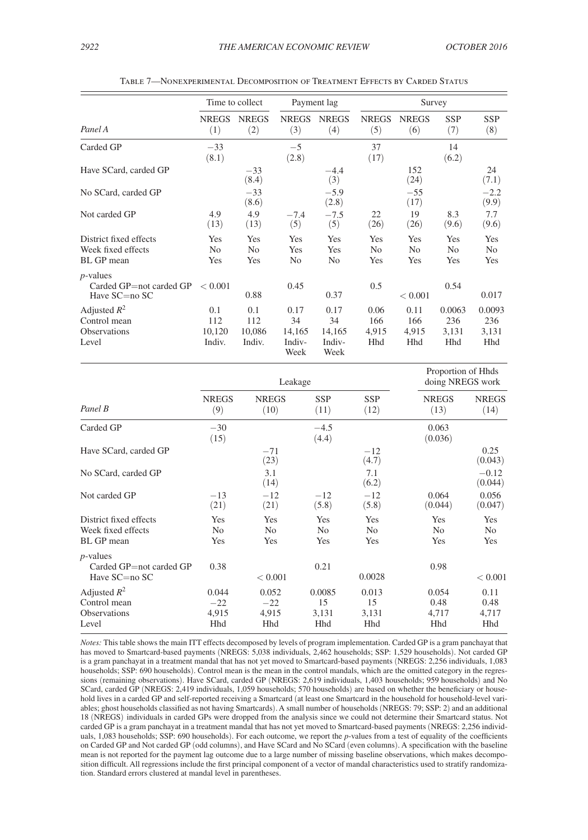<span id="page-27-0"></span>

|                                                            | Time to collect                |                                     | Payment lag                            |                                        | Survey                       |                              |                               |                               |
|------------------------------------------------------------|--------------------------------|-------------------------------------|----------------------------------------|----------------------------------------|------------------------------|------------------------------|-------------------------------|-------------------------------|
| Panel A                                                    | <b>NREGS</b><br>(1)            | <b>NREGS</b><br>(2)                 | <b>NREGS</b><br>(3)                    | <b>NREGS</b><br>(4)                    | <b>NREGS</b><br>(5)          | <b>NREGS</b><br>(6)          | <b>SSP</b><br>(7)             | <b>SSP</b><br>(8)             |
| Carded GP                                                  | $-33$<br>(8.1)                 |                                     | $-5$<br>(2.8)                          |                                        | 37<br>(17)                   |                              | 14<br>(6.2)                   |                               |
| Have SCard, carded GP                                      |                                | $-33$<br>(8.4)                      |                                        | $-4.4$<br>(3)                          |                              | 152<br>(24)                  |                               | 24<br>(7.1)                   |
| No SCard, carded GP                                        |                                | $-33$<br>(8.6)                      |                                        | $-5.9$<br>(2.8)                        |                              | $-55$<br>(17)                |                               | $-2.2$<br>(9.9)               |
| Not carded GP                                              | 4.9<br>(13)                    | 4.9<br>(13)                         | $-7.4$<br>(5)                          | $-7.5$<br>(5)                          | 22<br>(26)                   | 19<br>(26)                   | 8.3<br>(9.6)                  | 7.7<br>(9.6)                  |
| District fixed effects<br>Week fixed effects<br>BL GP mean | Yes<br>N <sub>0</sub><br>Yes   | <b>Yes</b><br>N <sub>0</sub><br>Yes | Yes<br>Yes<br>No                       | Yes<br>Yes<br>No                       | Yes<br>N <sub>0</sub><br>Yes | Yes<br>N <sub>0</sub><br>Yes | Yes<br>N <sub>0</sub><br>Yes  | Yes<br>N <sub>0</sub><br>Yes  |
| $p$ -values<br>Carded GP=not carded GP<br>Have SC=no SC    | ${}< 0.001$                    | 0.88                                | 0.45                                   | 0.37                                   | 0.5                          | < 0.001                      | 0.54                          | 0.017                         |
| Adjusted $R^2$<br>Control mean<br>Observations<br>Level    | 0.1<br>112<br>10,120<br>Indiv. | 0.1<br>112<br>10,086<br>Indiv.      | 0.17<br>34<br>14,165<br>Indiv-<br>Week | 0.17<br>34<br>14,165<br>Indiv-<br>Week | 0.06<br>166<br>4,915<br>Hhd  | 0.11<br>166<br>4,915<br>Hhd  | 0.0063<br>236<br>3,131<br>Hhd | 0.0093<br>236<br>3,131<br>Hhd |

Table 7—Nonexperimental Decomposition of Treatment Effects by Carded Status

|                                                                |                                | Leakage                        | Proportion of Hhds<br>doing NREGS work |                              |                               |                              |
|----------------------------------------------------------------|--------------------------------|--------------------------------|----------------------------------------|------------------------------|-------------------------------|------------------------------|
| Panel B                                                        | <b>NREGS</b><br>(9)            | <b>NREGS</b><br>(10)           | <b>SSP</b><br>(11)                     | SSP<br>(12)                  | <b>NREGS</b><br>(13)          | <b>NREGS</b><br>(14)         |
| Carded GP                                                      | $-30$<br>(15)                  |                                | $-4.5$<br>(4.4)                        |                              | 0.063<br>(0.036)              |                              |
| Have SCard, carded GP                                          |                                | $-71$<br>(23)                  |                                        | $-12$<br>(4.7)               |                               | 0.25<br>(0.043)              |
| No SCard, carded GP                                            |                                | 3.1<br>(14)                    |                                        | 7.1<br>(6.2)                 |                               | $-0.12$<br>(0.044)           |
| Not carded GP                                                  | $-13$<br>(21)                  | $-12$<br>(21)                  | $-12$<br>(5.8)                         | $-12$<br>(5.8)               | 0.064<br>(0.044)              | 0.056<br>(0.047)             |
| District fixed effects<br>Week fixed effects<br>BL GP mean     | Yes<br>N <sub>0</sub><br>Yes   | Yes<br>N <sub>o</sub><br>Yes   | Yes<br>N <sub>0</sub><br>Yes           | Yes<br>N <sub>o</sub><br>Yes | Yes<br>N <sub>0</sub><br>Yes  | Yes<br>N <sub>o</sub><br>Yes |
| $p$ -values<br>Carded GP=not carded GP<br>Have $SC = no SC$    | 0.38                           | < 0.001                        | 0.21                                   | 0.0028                       | 0.98                          | < 0.001                      |
| Adjusted $R^2$<br>Control mean<br><b>Observations</b><br>Level | 0.044<br>$-22$<br>4,915<br>Hhd | 0.052<br>$-22$<br>4,915<br>Hhd | 0.0085<br>15<br>3,131<br>Hhd           | 0.013<br>15<br>3,131<br>Hhd  | 0.054<br>0.48<br>4,717<br>Hhd | 0.11<br>0.48<br>4,717<br>Hhd |

*Notes:* This table shows the main ITT effects decomposed by levels of program implementation. Carded GP is a gram panchayat that has moved to Smartcard-based payments (NREGS: 5,038 individuals, 2,462 households; SSP: 1,529 households). Not carded GP is a gram panchayat in a treatment mandal that has not yet moved to Smartcard-based payments (NREGS: 2,256 individuals, 1,083 households; SSP: 690 households). Control mean is the mean in the control mandals, which are the omitted category in the regressions (remaining observations). Have SCard, carded GP (NREGS: 2,619 individuals, 1,403 households; 959 households) and No SCard, carded GP (NREGS: 2,419 individuals, 1,059 households; 570 households) are based on whether the beneficiary or household lives in a carded GP and self-reported receiving a Smartcard (at least one Smartcard in the household for household-level variables; ghost households classified as not having Smartcards). A small number of households (NREGS: 79; SSP: 2) and an additional 18 (NREGS) individuals in carded GPs were dropped from the analysis since we could not determine their Smartcard status. Not carded GP is a gram panchayat in a treatment mandal that has not yet moved to Smartcard-based payments (NREGS: 2,256 individuals, 1,083 households; SSP: 690 households). For each outcome, we report the *p*-values from a test of equality of the coefficients on Carded GP and Not carded GP (odd columns), and Have SCard and No SCard (even columns). A specification with the baseline mean is not reported for the payment lag outcome due to a large number of missing baseline observations, which makes decomposition difficult. All regressions include the first principal component of a vector of mandal characteristics used to stratify randomization. Standard errors clustered at mandal level in parentheses.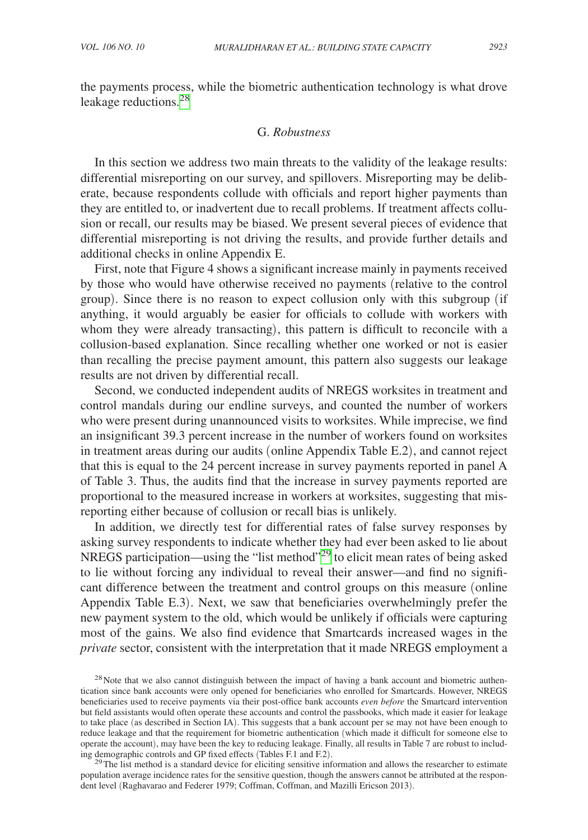the payments process, while the biometric authentication technology is what drove leakage reductions.<sup>[28](#page-28-0)</sup>

# G. *Robustness*

In this section we address two main threats to the validity of the leakage results: differential misreporting on our survey, and spillovers. Misreporting may be deliberate, because respondents collude with officials and report higher payments than they are entitled to, or inadvertent due to recall problems. If treatment affects collusion or recall, our results may be biased. We present several pieces of evidence that differential misreporting is not driving the results, and provide further details and additional checks in online Appendix E.

First, note that Figure 4 shows a significant increase mainly in payments received by those who would have otherwise received no payments (relative to the control group). Since there is no reason to expect collusion only with this subgroup (if anything, it would arguably be easier for officials to collude with workers with whom they were already transacting), this pattern is difficult to reconcile with a collusion-based explanation. Since recalling whether one worked or not is easier than recalling the precise payment amount, this pattern also suggests our leakage results are not driven by differential recall.

Second, we conducted independent audits of NREGS worksites in treatment and control mandals during our endline surveys, and counted the number of workers who were present during unannounced visits to worksites. While imprecise, we find an insignificant 39.3 percent increase in the number of workers found on worksites in treatment areas during our audits (online Appendix Table E.2), and cannot reject that this is equal to the 24 percent increase in survey payments reported in panel A of Table 3. Thus, the audits find that the increase in survey payments reported are proportional to the measured increase in workers at worksites, suggesting that misreporting either because of collusion or recall bias is unlikely.

In addition, we directly test for differential rates of false survey responses by asking survey respondents to indicate whether they had ever been asked to lie about NREGS participation—using the "list method["29](#page-28-1) to elicit mean rates of being asked to lie without forcing any individual to reveal their answer—and find no significant difference between the treatment and control groups on this measure (online Appendix Table E.3). Next, we saw that beneficiaries overwhelmingly prefer the new payment system to the old, which would be unlikely if officials were capturing most of the gains. We also find evidence that Smartcards increased wages in the *private* sector, consistent with the interpretation that it made NREGS employment a

<span id="page-28-1"></span> $^{29}$  The list method is a standard device for eliciting sensitive information and allows the researcher to estimate population average incidence rates for the sensitive question, though the answers cannot be attributed at the respondent level (Raghavarao and Federer 1979; Coffman, Coffman, and Mazilli Ericson 2013).

<span id="page-28-0"></span><sup>&</sup>lt;sup>28</sup>Note that we also cannot distinguish between the impact of having a bank account and biometric authentication since bank accounts were only opened for beneficiaries who enrolled for Smartcards. However, NREGS beneficiaries used to receive payments via their post-office bank accounts *even before* the Smartcard intervention but field assistants would often operate these accounts and control the passbooks, which made it easier for leakage to take place (as described in Section IA). This suggests that a bank account per se may not have been enough to reduce leakage and that the requirement for biometric authentication (which made it difficult for someone else to operate the account), may have been the key to reducing leakage. Finally, all results in Table 7 are robust to includ-<br>ing demographic controls and GP fixed effects (Tables F.1 and F.2).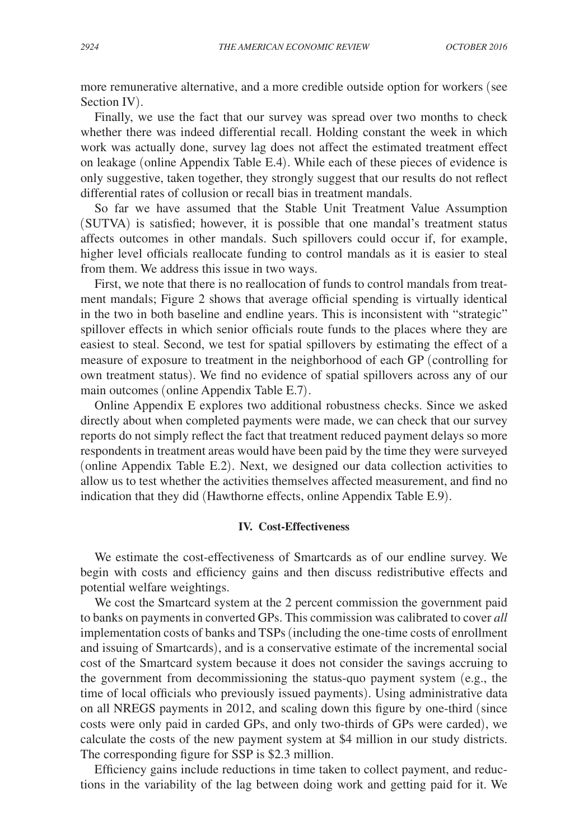more remunerative alternative, and a more credible outside option for workers (see Section IV).

Finally, we use the fact that our survey was spread over two months to check whether there was indeed differential recall. Holding constant the week in which work was actually done, survey lag does not affect the estimated treatment effect on leakage (online Appendix Table E.4). While each of these pieces of evidence is only suggestive, taken together, they strongly suggest that our results do not reflect differential rates of collusion or recall bias in treatment mandals.

So far we have assumed that the Stable Unit Treatment Value Assumption (SUTVA) is satisfied; however, it is possible that one mandal's treatment status affects outcomes in other mandals. Such spillovers could occur if, for example, higher level officials reallocate funding to control mandals as it is easier to steal from them. We address this issue in two ways.

First, we note that there is no reallocation of funds to control mandals from treatment mandals; Figure 2 shows that average official spending is virtually identical in the two in both baseline and endline years. This is inconsistent with "strategic" spillover effects in which senior officials route funds to the places where they are easiest to steal. Second, we test for spatial spillovers by estimating the effect of a measure of exposure to treatment in the neighborhood of each GP (controlling for own treatment status). We find no evidence of spatial spillovers across any of our main outcomes (online Appendix Table E.7).

Online Appendix E explores two additional robustness checks. Since we asked directly about when completed payments were made, we can check that our survey reports do not simply reflect the fact that treatment reduced payment delays so more respondents in treatment areas would have been paid by the time they were surveyed (online Appendix Table E.2). Next, we designed our data collection activities to allow us to test whether the activities themselves affected measurement, and find no indication that they did (Hawthorne effects, online Appendix Table E.9).

### **IV. Cost-Effectiveness**

We estimate the cost-effectiveness of Smartcards as of our endline survey. We begin with costs and efficiency gains and then discuss redistributive effects and potential welfare weightings.

We cost the Smartcard system at the 2 percent commission the government paid to banks on payments in converted GPs. This commission was calibrated to cover *all* implementation costs of banks and TSPs (including the one-time costs of enrollment and issuing of Smartcards), and is a conservative estimate of the incremental social cost of the Smartcard system because it does not consider the savings accruing to the government from decommissioning the status-quo payment system (e.g., the time of local officials who previously issued payments). Using administrative data on all NREGS payments in 2012, and scaling down this figure by one-third (since costs were only paid in carded GPs, and only two-thirds of GPs were carded), we calculate the costs of the new payment system at \$4 million in our study districts. The corresponding figure for SSP is \$2.3 million.

Efficiency gains include reductions in time taken to collect payment, and reductions in the variability of the lag between doing work and getting paid for it. We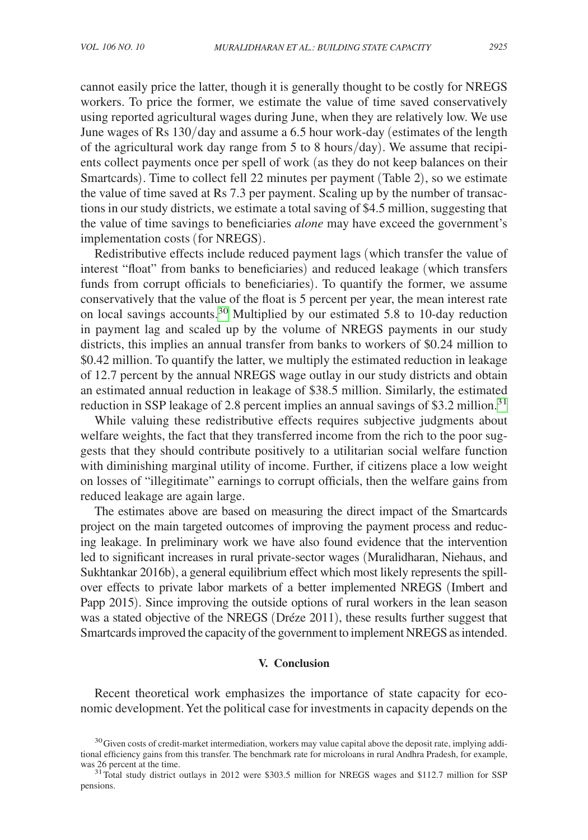cannot easily price the latter, though it is generally thought to be costly for NREGS workers. To price the former, we estimate the value of time saved conservatively using reported agricultural wages during June, when they are relatively low. We use June wages of Rs 130/day and assume a 6.5 hour work-day (estimates of the length of the agricultural work day range from 5 to 8 hours/day). We assume that recipients collect payments once per spell of work (as they do not keep balances on their Smartcards). Time to collect fell 22 minutes per payment (Table 2), so we estimate the value of time saved at Rs 7.3 per payment. Scaling up by the number of transactions in our study districts, we estimate a total saving of \$4.5 million, suggesting that the value of time savings to beneficiaries *alone* may have exceed the government's implementation costs (for NREGS).

Redistributive effects include reduced payment lags (which transfer the value of interest "float" from banks to beneficiaries) and reduced leakage (which transfers funds from corrupt officials to beneficiaries). To quantify the former, we assume conservatively that the value of the float is 5 percent per year, the mean interest rate on local savings accounts.[30](#page-30-0) Multiplied by our estimated 5.8 to 10-day reduction in payment lag and scaled up by the volume of NREGS payments in our study districts, this implies an annual transfer from banks to workers of \$0.24 million to \$0.42 million. To quantify the latter, we multiply the estimated reduction in leakage of 12.7 percent by the annual NREGS wage outlay in our study districts and obtain an estimated annual reduction in leakage of \$38.5 million. Similarly, the estimated reduction in SSP leakage of 2.8 percent implies an annual savings of \$3.2 million.<sup>31</sup>

While valuing these redistributive effects requires subjective judgments about welfare weights, the fact that they transferred income from the rich to the poor suggests that they should contribute positively to a utilitarian social welfare function with diminishing marginal utility of income. Further, if citizens place a low weight on losses of "illegitimate" earnings to corrupt officials, then the welfare gains from reduced leakage are again large.

The estimates above are based on measuring the direct impact of the Smartcards project on the main targeted outcomes of improving the payment process and reducing leakage. In preliminary work we have also found evidence that the intervention led to significant increases in rural private-sector wages (Muralidharan, Niehaus, and Sukhtankar 2016b), a general equilibrium effect which most likely represents the spillover effects to private labor markets of a better implemented NREGS (Imbert and Papp 2015). Since improving the outside options of rural workers in the lean season was a stated objective of the NREGS (Dréze 2011), these results further suggest that Smartcards improved the capacity of the government to implement NREGS as intended.

### **V. Conclusion**

Recent theoretical work emphasizes the importance of state capacity for economic development. Yet the political case for investments in capacity depends on the

<span id="page-30-0"></span><sup>&</sup>lt;sup>30</sup>Given costs of credit-market intermediation, workers may value capital above the deposit rate, implying additional efficiency gains from this transfer. The benchmark rate for microloans in rural Andhra Pradesh, for example, was 26 percent at the time.<br><sup>31</sup>Total study district outlays in 2012 were \$303.5 million for NREGS wages and \$112.7 million for SSP

<span id="page-30-1"></span>pensions.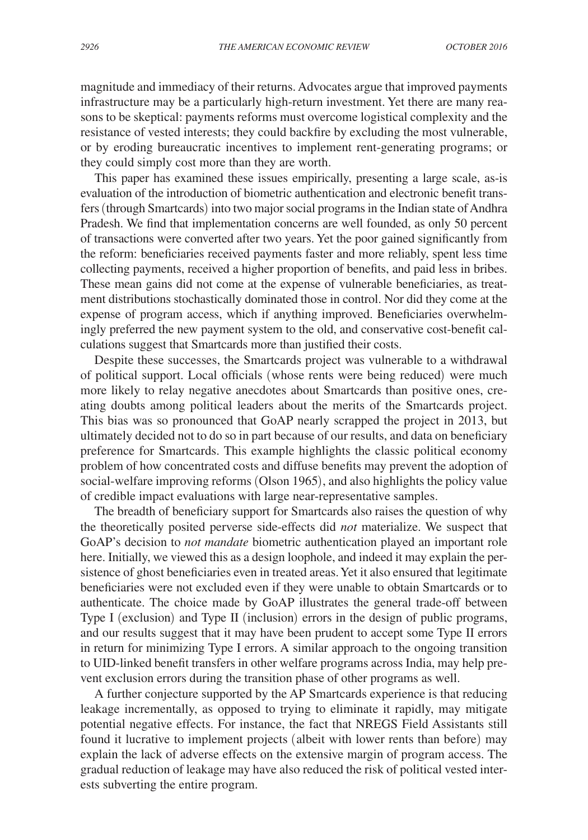magnitude and immediacy of their returns. Advocates argue that improved payments infrastructure may be a particularly high-return investment. Yet there are many reasons to be skeptical: payments reforms must overcome logistical complexity and the resistance of vested interests; they could backfire by excluding the most vulnerable, or by eroding bureaucratic incentives to implement rent-generating programs; or they could simply cost more than they are worth.

This paper has examined these issues empirically, presenting a large scale, as-is evaluation of the introduction of biometric authentication and electronic benefit transfers (through Smartcards) into two major social programs in the Indian state of Andhra Pradesh. We find that implementation concerns are well founded, as only 50 percent of transactions were converted after two years. Yet the poor gained significantly from the reform: beneficiaries received payments faster and more reliably, spent less time collecting payments, received a higher proportion of benefits, and paid less in bribes. These mean gains did not come at the expense of vulnerable beneficiaries, as treatment distributions stochastically dominated those in control. Nor did they come at the expense of program access, which if anything improved. Beneficiaries overwhelmingly preferred the new payment system to the old, and conservative cost-benefit calculations suggest that Smartcards more than justified their costs.

Despite these successes, the Smartcards project was vulnerable to a withdrawal of political support. Local officials (whose rents were being reduced) were much more likely to relay negative anecdotes about Smartcards than positive ones, creating doubts among political leaders about the merits of the Smartcards project. This bias was so pronounced that GoAP nearly scrapped the project in 2013, but ultimately decided not to do so in part because of our results, and data on beneficiary preference for Smartcards. This example highlights the classic political economy problem of how concentrated costs and diffuse benefits may prevent the adoption of social-welfare improving reforms (Olson 1965), and also highlights the policy value of credible impact evaluations with large near-representative samples.

The breadth of beneficiary support for Smartcards also raises the question of why the theoretically posited perverse side-effects did *not* materialize. We suspect that GoAP's decision to *not mandate* biometric authentication played an important role here. Initially, we viewed this as a design loophole, and indeed it may explain the persistence of ghost beneficiaries even in treated areas. Yet it also ensured that legitimate beneficiaries were not excluded even if they were unable to obtain Smartcards or to authenticate. The choice made by GoAP illustrates the general trade-off between Type I (exclusion) and Type II (inclusion) errors in the design of public programs, and our results suggest that it may have been prudent to accept some Type II errors in return for minimizing Type I errors. A similar approach to the ongoing transition to UID-linked benefit transfers in other welfare programs across India, may help prevent exclusion errors during the transition phase of other programs as well.

A further conjecture supported by the AP Smartcards experience is that reducing leakage incrementally, as opposed to trying to eliminate it rapidly, may mitigate potential negative effects. For instance, the fact that NREGS Field Assistants still found it lucrative to implement projects (albeit with lower rents than before) may explain the lack of adverse effects on the extensive margin of program access. The gradual reduction of leakage may have also reduced the risk of political vested interests subverting the entire program.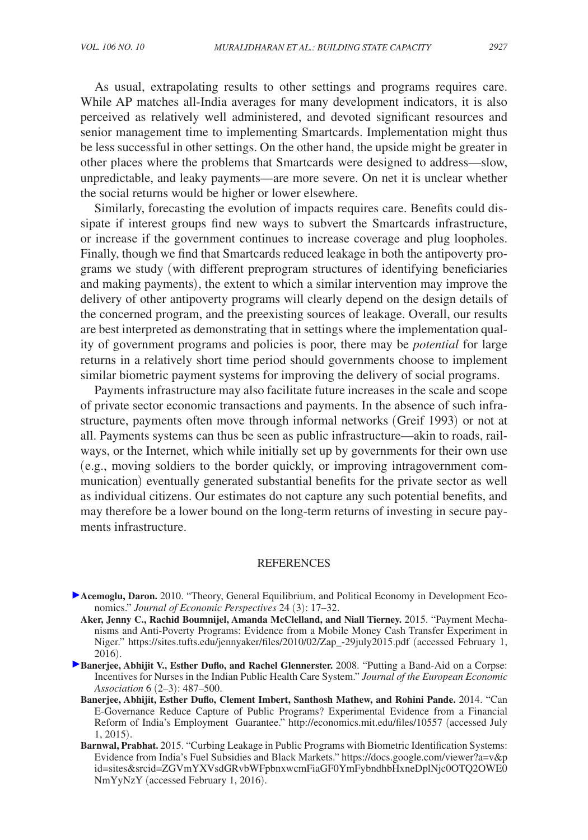As usual, extrapolating results to other settings and programs requires care. While AP matches all-India averages for many development indicators, it is also perceived as relatively well administered, and devoted significant resources and senior management time to implementing Smartcards. Implementation might thus be less successful in other settings. On the other hand, the upside might be greater in other places where the problems that Smartcards were designed to address—slow, unpredictable, and leaky payments—are more severe. On net it is unclear whether the social returns would be higher or lower elsewhere.

Similarly, forecasting the evolution of impacts requires care. Benefits could dissipate if interest groups find new ways to subvert the Smartcards infrastructure, or increase if the government continues to increase coverage and plug loopholes. Finally, though we find that Smartcards reduced leakage in both the antipoverty programs we study (with different preprogram structures of identifying beneficiaries and making payments), the extent to which a similar intervention may improve the delivery of other antipoverty programs will clearly depend on the design details of the concerned program, and the preexisting sources of leakage. Overall, our results are best interpreted as demonstrating that in settings where the implementation quality of government programs and policies is poor, there may be *potential* for large returns in a relatively short time period should governments choose to implement similar biometric payment systems for improving the delivery of social programs.

Payments infrastructure may also facilitate future increases in the scale and scope of private sector economic transactions and payments. In the absence of such infrastructure, payments often move through informal networks (Greif 1993) or not at all. Payments systems can thus be seen as public infrastructure—akin to roads, railways, or the Internet, which while initially set up by governments for their own use (e.g., moving soldiers to the border quickly, or improving intragovernment communication) eventually generated substantial benefits for the private sector as well as individual citizens. Our estimates do not capture any such potential benefits, and may therefore be a lower bound on the long-term returns of investing in secure payments infrastructure.

### **REFERENCES**

- **Acemoglu, Daron.** 2010. "Theory, General Equilibrium, and Political Economy in Development Economics." *Journal of Economic Perspectives* 24 (3): 17–32.
	- **Aker, Jenny C., Rachid Boumnijel, Amanda McClelland, and Niall Tierney.** 2015. "Payment Mechanisms and Anti-Poverty Programs: Evidence from a Mobile Money Cash Transfer Experiment in Niger." https://sites.tufts.edu/jennyaker/files/2010/02/Zap\_-29july2015.pdf (accessed February 1, 2016).
- **Banerjee, Abhijit V., Esther Duflo, and Rachel Glennerster.** 2008. "Putting a Band-Aid on a Corpse: Incentives for Nurses in the Indian Public Health Care System." *Journal of the European Economic Association* 6 (2–3): 487–500.
	- **Banerjee, Abhijit, Esther Duflo, Clement Imbert, Santhosh Mathew, and Rohini Pande.** 2014. "Can E-Governance Reduce Capture of Public Programs? Experimental Evidence from a Financial Reform of India's Employment Guarantee." http://economics.mit.edu/files/10557 (accessed July 1, 2015).
	- **Barnwal, Prabhat.** 2015. "Curbing Leakage in Public Programs with Biometric Identification Systems: [Evidence from India's Fuel Subsidies and Black Markets." https://docs.google.com/viewer?a=v&p](https://docs.google.com/viewer?a=v&pid=sites&srcid=ZGVmYXVsdGRvbWFpbnxwcmFiaGF0YmFybndhbHxneDplNjc0OTQ2OWE0NmYyNzY) id=sites&srcid=ZGVmYXVsdGRvbWFpbnxwcmFiaGF0YmFybndhbHxneDplNjc0OTQ2OWE0 NmYyNzY (accessed February 1, 2016).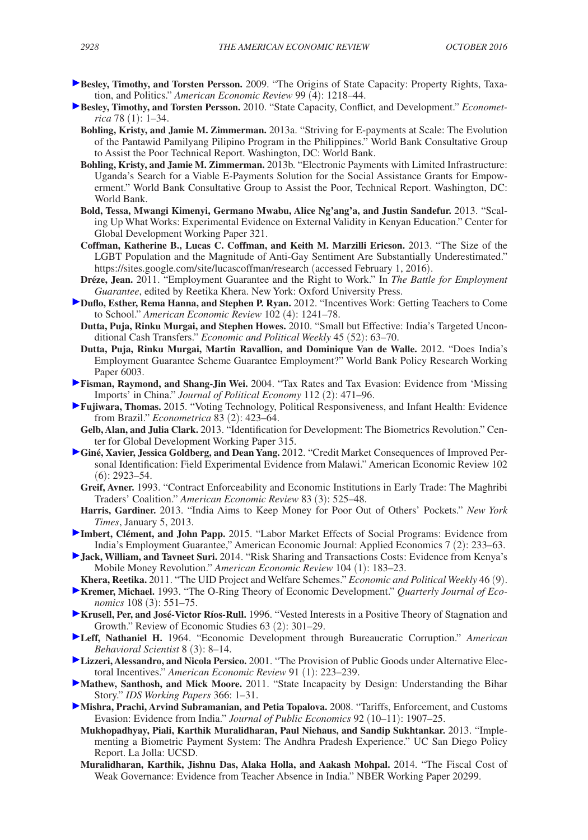- **Besley, Timothy, and Torsten Persson.** 2009. "The Origins of State Capacity: Property Rights, Taxation, and Politics." *American Economic Review* 99 (4): 1218–44.
- **Besley, Timothy, and Torsten Persson.** 2010. "State Capacity, Conflict, and Development." *Econometrica* 78 (1): 1–34.
	- **Bohling, Kristy, and Jamie M. Zimmerman.** 2013a. "Striving for E-payments at Scale: The Evolution of the Pantawid Pamilyang Pilipino Program in the Philippines." World Bank Consultative Group to Assist the Poor Technical Report. Washington, DC: World Bank.
	- **Bohling, Kristy, and Jamie M. Zimmerman.** 2013b. "Electronic Payments with Limited Infrastructure: Uganda's Search for a Viable E-Payments Solution for the Social Assistance Grants for Empowerment." World Bank Consultative Group to Assist the Poor, Technical Report. Washington, DC: World Bank.
	- **Bold, Tessa, Mwangi Kimenyi, Germano Mwabu, Alice Ng'ang'a, and Justin Sandefur.** 2013. "Scaling Up What Works: Experimental Evidence on External Validity in Kenyan Education." Center for Global Development Working Paper 321.
	- **Coffman, Katherine B., Lucas C. Coffman, and Keith M. Marzilli Ericson.** 2013. "The Size of the LGBT Population and the Magnitude of Anti-Gay Sentiment Are Substantially Underestimated." https://sites.google.com/site/lucascoffman/research (accessed February 1, 2016).
- **Dréze, Jean.** 2011. "Employment Guarantee and the Right to Work." In *The Battle for Employment Guarantee*, edited by Reetika Khera. New York: Oxford University Press.
- **Duflo, Esther, Rema Hanna, and Stephen P. Ryan.** 2012. "Incentives Work: Getting Teachers to Come to School." *American Economic Review* 102 (4): 1241–78.
	- **Dutta, Puja, Rinku Murgai, and Stephen Howes.** 2010. "Small but Effective: India's Targeted Unconditional Cash Transfers." *Economic and Political Weekly* 45 (52): 63–70.
	- **Dutta, Puja, Rinku Murgai, Martin Ravallion, and Dominique Van de Walle.** 2012. "Does India's Employment Guarantee Scheme Guarantee Employment?" World Bank Policy Research Working Paper 6003.
- **Fisman, Raymond, and Shang-Jin Wei.** 2004. "Tax Rates and Tax Evasion: Evidence from 'Missing Imports' in China." *Journal of Political Economy* 112 (2): 471–96.
- **Fujiwara, Thomas.** 2015. "Voting Technology, Political Responsiveness, and Infant Health: Evidence from Brazil." *Econometrica* 83 (2): 423–64.
- **Gelb, Alan, and Julia Clark.** 2013. "Identification for Development: The Biometrics Revolution." Center for Global Development Working Paper 315.
- **Giné, Xavier, Jessica Goldberg, and Dean Yang.** 2012. "Credit Market Consequences of Improved Personal Identification: Field Experimental Evidence from Malawi." American Economic Review 102 (6): 2923–54.
	- **Greif, Avner.** 1993. "Contract Enforceability and Economic Institutions in Early Trade: The Maghribi Traders' Coalition." *American Economic Review* 83 (3): 525–48.
- **Harris, Gardiner.** 2013. "India Aims to Keep Money for Poor Out of Others' Pockets." *New York Times*, January 5, 2013.
- **Imbert, Clément, and John Papp.** 2015. "Labor Market Effects of Social Programs: Evidence from India's Employment Guarantee," American Economic Journal: Applied Economics 7 (2): 233–63.
- **Jack, William, and Tavneet Suri.** 2014. "Risk Sharing and Transactions Costs: Evidence from Kenya's Mobile Money Revolution." *American Economic Review* 104 (1): 183–23.
	- **Khera, Reetika.** 2011. "The UID Project and Welfare Schemes." *Economic and Political Weekly* 46 (9).
- **Kremer, Michael.** 1993. "The O-Ring Theory of Economic Development." *Quarterly Journal of Economics* 108 (3): 551–75.
- **Krusell, Per, and José-Victor Ríos-Rull.** 1996. "Vested Interests in a Positive Theory of Stagnation and Growth." Review of Economic Studies 63 (2): 301–29.
- **Leff, Nathaniel H.** 1964. "Economic Development through Bureaucratic Corruption." *American Behavioral Scientist* 8 (3): 8–14.
- **Lizzeri, Alessandro, and Nicola Persico.** 2001. "The Provision of Public Goods under Alternative Electoral Incentives." *American Economic Review* 91 (1): 223–239.
- **Mathew, Santhosh, and Mick Moore.** 2011. "State Incapacity by Design: Understanding the Bihar Story." *IDS Working Papers* 366: 1–31.
- **Mishra, Prachi, Arvind Subramanian, and Petia Topalova.** 2008. "Tariffs, Enforcement, and Customs Evasion: Evidence from India." *Journal of Public Economics* 92 (10–11): 1907–25.
- **Mukhopadhyay, Piali, Karthik Muralidharan, Paul Niehaus, and Sandip Sukhtankar.** 2013. "Implementing a Biometric Payment System: The Andhra Pradesh Experience." UC San Diego Policy Report. La Jolla: UCSD.
- **Muralidharan, Karthik, Jishnu Das, Alaka Holla, and Aakash Mohpal.** 2014. "The Fiscal Cost of Weak Governance: Evidence from Teacher Absence in India." NBER Working Paper 20299.